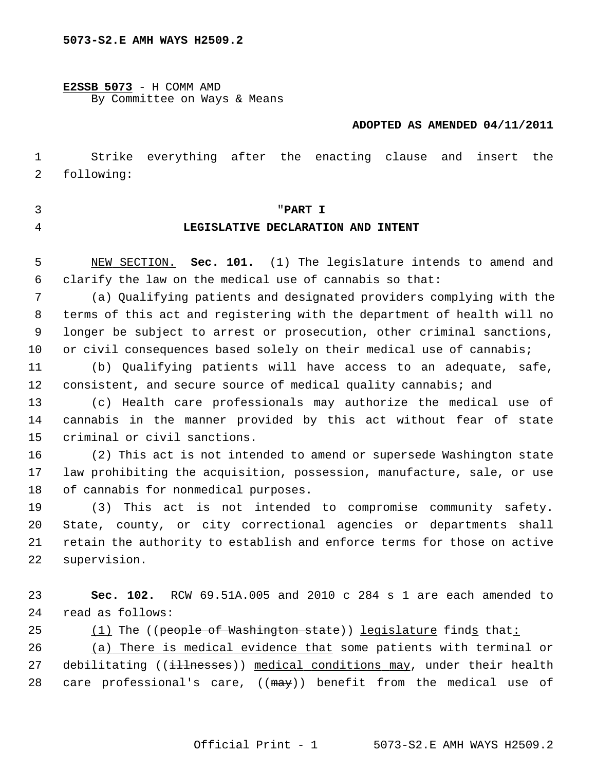#### **5073-S2.E AMH WAYS H2509.2**

**E2SSB 5073** - H COMM AMD By Committee on Ways & Means

#### **ADOPTED AS AMENDED 04/11/2011**

 1 Strike everything after the enacting clause and insert the 2 following:

- 
- 

### 3 "**PART I**

#### 4 **LEGISLATIVE DECLARATION AND INTENT**

 5 NEW SECTION. **Sec. 101.** (1) The legislature intends to amend and 6 clarify the law on the medical use of cannabis so that:

 7 (a) Qualifying patients and designated providers complying with the 8 terms of this act and registering with the department of health will no 9 longer be subject to arrest or prosecution, other criminal sanctions, 10 or civil consequences based solely on their medical use of cannabis;

11 (b) Qualifying patients will have access to an adequate, safe, 12 consistent, and secure source of medical quality cannabis; and

13 (c) Health care professionals may authorize the medical use of 14 cannabis in the manner provided by this act without fear of state 15 criminal or civil sanctions.

16 (2) This act is not intended to amend or supersede Washington state 17 law prohibiting the acquisition, possession, manufacture, sale, or use 18 of cannabis for nonmedical purposes.

19 (3) This act is not intended to compromise community safety. 20 State, county, or city correctional agencies or departments shall 21 retain the authority to establish and enforce terms for those on active 22 supervision.

23 **Sec. 102.** RCW 69.51A.005 and 2010 c 284 s 1 are each amended to 24 read as follows:

25 (1) The ((people of Washington state)) legislature finds that:

26 (a) There is medical evidence that some patients with terminal or 27 debilitating ((illnesses)) medical conditions may, under their health 28 care professional's care,  $((\text{max}))$  benefit from the medical use of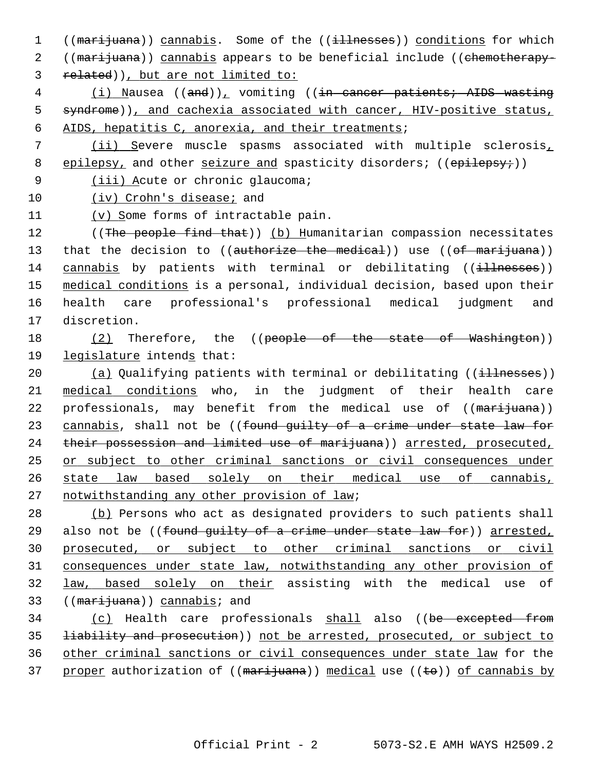1 ((marijuana)) cannabis. Some of the ((illnesses)) conditions for which 2 ((marijuana)) cannabis appears to be beneficial include ((chemotherapy-3 related)), but are not limited to:

 4 (i) Nausea ((and)), vomiting ((in cancer patients; AIDS wasting 5 syndrome)), and cachexia associated with cancer, HIV-positive status, 6 AIDS, hepatitis C, anorexia, and their treatments;

 7 (ii) Severe muscle spasms associated with multiple sclerosis, 8 epilepsy, and other seizure and spasticity disorders; (( $\epsilon$ pilepsy;))

9 (iii) Acute or chronic glaucoma;

10 (iv) Crohn's disease; and

11 (v) Some forms of intractable pain.

12 ((The people find that)) (b) Humanitarian compassion necessitates 13 that the decision to ((authorize the medical)) use ((of marijuana)) 14 cannabis by patients with terminal or debilitating ((illnesses)) 15 medical conditions is a personal, individual decision, based upon their 16 health care professional's professional medical judgment and 17 discretion.

18 (2) Therefore, the ((people of the state of Washington)) 19 legislature intends that:

20 (a) Qualifying patients with terminal or debilitating ((illnesses)) 21 medical conditions who, in the judgment of their health care 22 professionals, may benefit from the medical use of ((marijuana)) 23 cannabis, shall not be ((found quilty of a crime under state law for 24 their possession and limited use of marijuana)) arrested, prosecuted, 25 or subject to other criminal sanctions or civil consequences under 26 state law based solely on their medical use of cannabis, 27 notwithstanding any other provision of law;

 (b) Persons who act as designated providers to such patients shall 29 also not be ((found quilty of a crime under state law for)) arrested, prosecuted, or subject to other criminal sanctions or civil consequences under state law, notwithstanding any other provision of law, based solely on their assisting with the medical use of 33 ((marijuana)) cannabis; and

34 (c) Health care professionals shall also ((be excepted from 35 liability and prosecution)) not be arrested, prosecuted, or subject to 36 other criminal sanctions or civil consequences under state law for the 37 proper authorization of  $((\text{mar}$ ijuana)) medical use  $((\text{te}))$  of cannabis by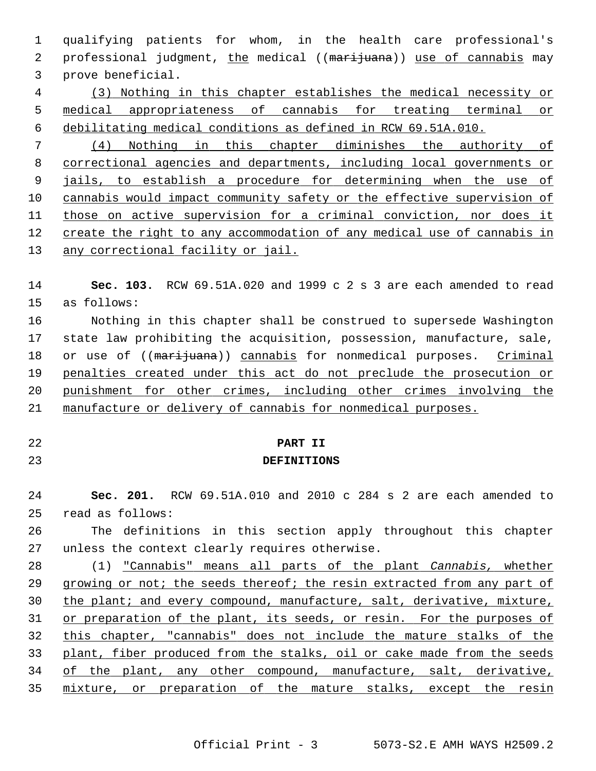1 qualifying patients for whom, in the health care professional's 2 professional judgment, the medical ((marijuana)) use of cannabis may 3 prove beneficial. 4 (3) Nothing in this chapter establishes the medical necessity or 5 medical appropriateness of cannabis for treating terminal or 6 debilitating medical conditions as defined in RCW 69.51A.010. 7 (4) Nothing in this chapter diminishes the authority of 8 correctional agencies and departments, including local governments or 9 jails, to establish a procedure for determining when the use of 10 cannabis would impact community safety or the effective supervision of 11 those on active supervision for a criminal conviction, nor does it 12 create the right to any accommodation of any medical use of cannabis in 13 any correctional facility or jail. 14 **Sec. 103.** RCW 69.51A.020 and 1999 c 2 s 3 are each amended to read 15 as follows: 16 Nothing in this chapter shall be construed to supersede Washington 17 state law prohibiting the acquisition, possession, manufacture, sale, 18 or use of ((marijuana)) cannabis for nonmedical purposes. Criminal 19 penalties created under this act do not preclude the prosecution or 20 punishment for other crimes, including other crimes involving the 21 manufacture or delivery of cannabis for nonmedical purposes. 22 **PART II** 23 **DEFINITIONS** 24 **Sec. 201.** RCW 69.51A.010 and 2010 c 284 s 2 are each amended to 25 read as follows: 26 The definitions in this section apply throughout this chapter 27 unless the context clearly requires otherwise. 28 (1) "Cannabis" means all parts of the plant *Cannabis,* whether 29 growing or not; the seeds thereof; the resin extracted from any part of 30 the plant; and every compound, manufacture, salt, derivative, mixture, 31 or preparation of the plant, its seeds, or resin. For the purposes of 32 this chapter, "cannabis" does not include the mature stalks of the 33 plant, fiber produced from the stalks, oil or cake made from the seeds 34 of the plant, any other compound, manufacture, salt, derivative, 35 mixture, or preparation of the mature stalks, except the resin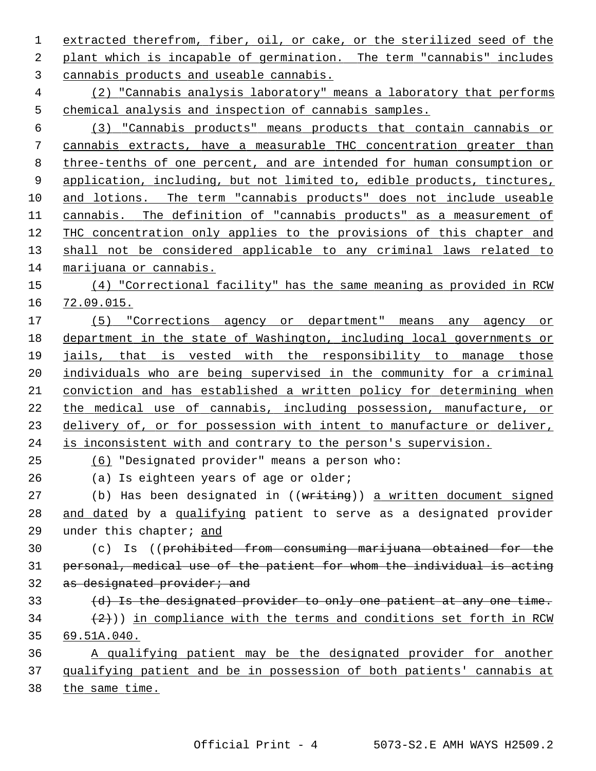extracted therefrom, fiber, oil, or cake, or the sterilized seed of the plant which is incapable of germination. The term "cannabis" includes cannabis products and useable cannabis. (2) "Cannabis analysis laboratory" means a laboratory that performs chemical analysis and inspection of cannabis samples. (3) "Cannabis products" means products that contain cannabis or cannabis extracts, have a measurable THC concentration greater than three-tenths of one percent, and are intended for human consumption or 9 application, including, but not limited to, edible products, tinctures, 10 and lotions. The term "cannabis products" does not include useable cannabis. The definition of "cannabis products" as a measurement of THC concentration only applies to the provisions of this chapter and shall not be considered applicable to any criminal laws related to marijuana or cannabis. (4) "Correctional facility" has the same meaning as provided in RCW 72.09.015. (5) "Corrections agency or department" means any agency or department in the state of Washington, including local governments or jails, that is vested with the responsibility to manage those individuals who are being supervised in the community for a criminal conviction and has established a written policy for determining when the medical use of cannabis, including possession, manufacture, or delivery of, or for possession with intent to manufacture or deliver, is inconsistent with and contrary to the person's supervision. (6) "Designated provider" means a person who: 26 (a) Is eighteen years of age or older; 27 (b) Has been designated in ((writing)) a written document signed 28 and dated by a qualifying patient to serve as a designated provider 29 under this chapter; and 30 (c) Is ((prohibited from consuming marijuana obtained for the personal, medical use of the patient for whom the individual is acting 32 as designated provider; and 33 (d) Is the designated provider to only one patient at any one time.  $(2)$ )) in compliance with the terms and conditions set forth in RCW 69.51A.040. A qualifying patient may be the designated provider for another qualifying patient and be in possession of both patients' cannabis at

the same time.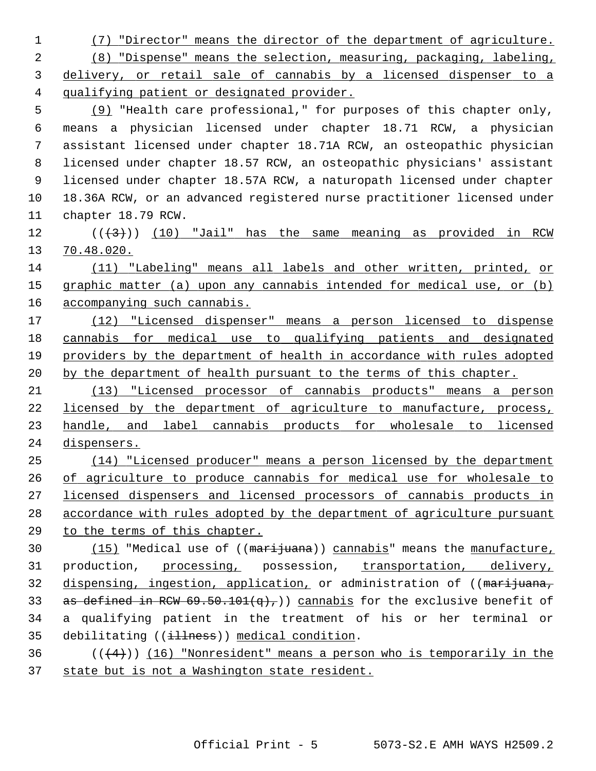(7) "Director" means the director of the department of agriculture. (8) "Dispense" means the selection, measuring, packaging, labeling, delivery, or retail sale of cannabis by a licensed dispenser to a qualifying patient or designated provider. (9) "Health care professional," for purposes of this chapter only, 6 means a physician licensed under chapter 18.71 RCW, a physician 7 assistant licensed under chapter 18.71A RCW, an osteopathic physician 8 licensed under chapter 18.57 RCW, an osteopathic physicians' assistant 9 licensed under chapter 18.57A RCW, a naturopath licensed under chapter 10 18.36A RCW, or an advanced registered nurse practitioner licensed under 11 chapter 18.79 RCW.  $((+3))$  (10) "Jail" has the same meaning as provided in RCW 70.48.020. (11) "Labeling" means all labels and other written, printed, or graphic matter (a) upon any cannabis intended for medical use, or (b) accompanying such cannabis. (12) "Licensed dispenser" means a person licensed to dispense cannabis for medical use to qualifying patients and designated providers by the department of health in accordance with rules adopted by the department of health pursuant to the terms of this chapter. (13) "Licensed processor of cannabis products" means a person licensed by the department of agriculture to manufacture, process, handle, and label cannabis products for wholesale to licensed dispensers. (14) "Licensed producer" means a person licensed by the department of agriculture to produce cannabis for medical use for wholesale to licensed dispensers and licensed processors of cannabis products in accordance with rules adopted by the department of agriculture pursuant to the terms of this chapter. 30 (15) "Medical use of ((marijuana)) cannabis" means the manufacture, 31 production, processing, possession, transportation, delivery, 32 dispensing, ingestion, application, or administration of ((marijuana, 33 as defined in RCW  $69.50.101(q)$ , annabis for the exclusive benefit of 34 a qualifying patient in the treatment of his or her terminal or 35 debilitating ((illness)) medical condition.  $((+4))$  (16) "Nonresident" means a person who is temporarily in the state but is not a Washington state resident.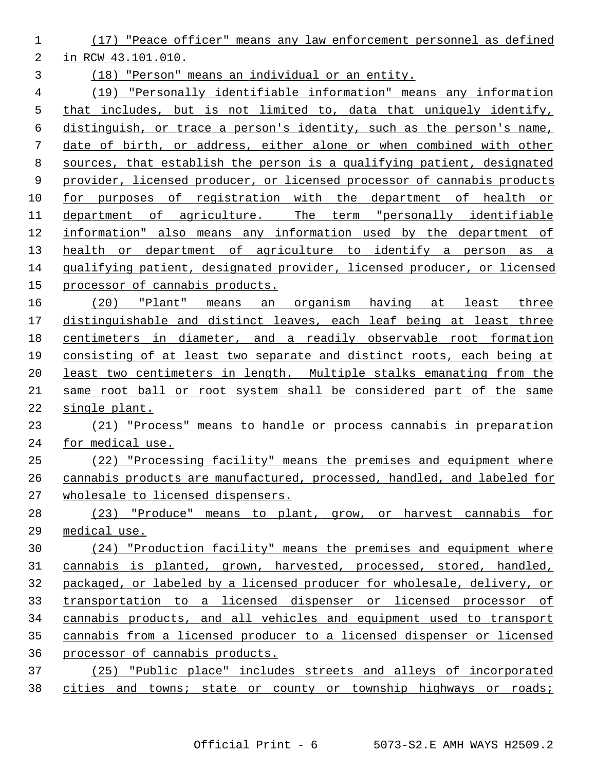(17) "Peace officer" means any law enforcement personnel as defined in RCW 43.101.010. (18) "Person" means an individual or an entity.

 (19) "Personally identifiable information" means any information that includes, but is not limited to, data that uniquely identify, distinguish, or trace a person's identity, such as the person's name, date of birth, or address, either alone or when combined with other sources, that establish the person is a qualifying patient, designated provider, licensed producer, or licensed processor of cannabis products for purposes of registration with the department of health or 11 department of agriculture. The term "personally identifiable information" also means any information used by the department of 13 health or department of agriculture to identify a person as a qualifying patient, designated provider, licensed producer, or licensed processor of cannabis products.

 (20) "Plant" means an organism having at least three distinguishable and distinct leaves, each leaf being at least three centimeters in diameter, and a readily observable root formation consisting of at least two separate and distinct roots, each being at least two centimeters in length. Multiple stalks emanating from the same root ball or root system shall be considered part of the same single plant.

 (21) "Process" means to handle or process cannabis in preparation for medical use.

 (22) "Processing facility" means the premises and equipment where cannabis products are manufactured, processed, handled, and labeled for wholesale to licensed dispensers.

 (23) "Produce" means to plant, grow, or harvest cannabis for medical use.

 (24) "Production facility" means the premises and equipment where cannabis is planted, grown, harvested, processed, stored, handled, packaged, or labeled by a licensed producer for wholesale, delivery, or transportation to a licensed dispenser or licensed processor of cannabis products, and all vehicles and equipment used to transport cannabis from a licensed producer to a licensed dispenser or licensed processor of cannabis products.

 (25) "Public place" includes streets and alleys of incorporated 38 cities and towns; state or county or township highways or roads;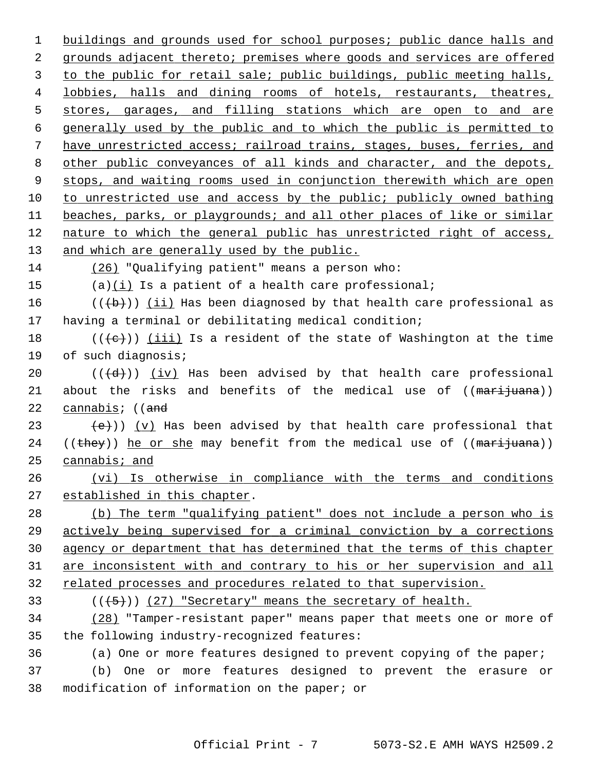buildings and grounds used for school purposes; public dance halls and grounds adjacent thereto; premises where goods and services are offered to the public for retail sale; public buildings, public meeting halls, lobbies, halls and dining rooms of hotels, restaurants, theatres, 5 stores, garages, and filling stations which are open to and are generally used by the public and to which the public is permitted to have unrestricted access; railroad trains, stages, buses, ferries, and other public conveyances of all kinds and character, and the depots, stops, and waiting rooms used in conjunction therewith which are open 10 to unrestricted use and access by the public; publicly owned bathing beaches, parks, or playgrounds; and all other places of like or similar nature to which the general public has unrestricted right of access, and which are generally used by the public. (26) "Qualifying patient" means a person who: 15 (a)(i) Is a patient of a health care professional;  $((\lbrace b \rbrace))$  (ii) Has been diagnosed by that health care professional as 17 having a terminal or debilitating medical condition;  $((\{e\})$  (iii) Is a resident of the state of Washington at the time 19 of such diagnosis;  $((\{d\})$  (iv) Has been advised by that health care professional 21 about the risks and benefits of the medical use of ((marijuana)) 22 cannabis; ((and  $(e)$ ) (v) Has been advised by that health care professional that 24 (( $\frac{1}{2}$ ) he or she may benefit from the medical use of ( $\frac{1}{2}$ ) cannabis; and (vi) Is otherwise in compliance with the terms and conditions established in this chapter. (b) The term "qualifying patient" does not include a person who is actively being supervised for a criminal conviction by a corrections agency or department that has determined that the terms of this chapter are inconsistent with and contrary to his or her supervision and all related processes and procedures related to that supervision.  $((+5))$  (27) "Secretary" means the secretary of health. (28) "Tamper-resistant paper" means paper that meets one or more of 35 the following industry-recognized features: 36 (a) One or more features designed to prevent copying of the paper; 37 (b) One or more features designed to prevent the erasure or 38 modification of information on the paper; or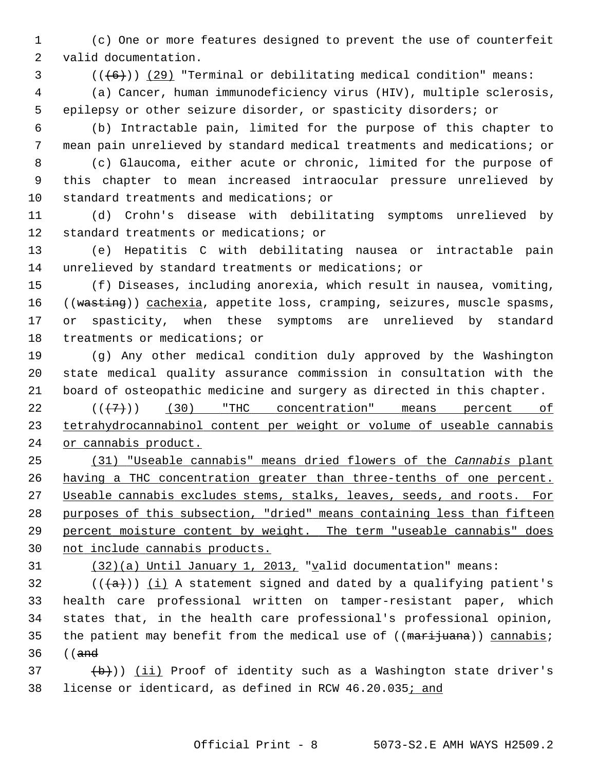1 (c) One or more features designed to prevent the use of counterfeit 2 valid documentation.

 $3$  ( $(\overline{6})$ ) (29) "Terminal or debilitating medical condition" means:

 4 (a) Cancer, human immunodeficiency virus (HIV), multiple sclerosis, 5 epilepsy or other seizure disorder, or spasticity disorders; or

 6 (b) Intractable pain, limited for the purpose of this chapter to 7 mean pain unrelieved by standard medical treatments and medications; or

 8 (c) Glaucoma, either acute or chronic, limited for the purpose of 9 this chapter to mean increased intraocular pressure unrelieved by 10 standard treatments and medications; or

11 (d) Crohn's disease with debilitating symptoms unrelieved by 12 standard treatments or medications; or

13 (e) Hepatitis C with debilitating nausea or intractable pain 14 unrelieved by standard treatments or medications; or

15 (f) Diseases, including anorexia, which result in nausea, vomiting, 16 ((wasting)) cachexia, appetite loss, cramping, seizures, muscle spasms, 17 or spasticity, when these symptoms are unrelieved by standard 18 treatments or medications; or

19 (g) Any other medical condition duly approved by the Washington 20 state medical quality assurance commission in consultation with the 21 board of osteopathic medicine and surgery as directed in this chapter.

 $22$   $((+7))$   $(30)$  "THC concentration" means percent of 23 tetrahydrocannabinol content per weight or volume of useable cannabis 24 or cannabis product.

 (31) "Useable cannabis" means dried flowers of the *Cannabis* plant having a THC concentration greater than three-tenths of one percent. 27 Useable cannabis excludes stems, stalks, leaves, seeds, and roots. For purposes of this subsection, "dried" means containing less than fifteen percent moisture content by weight. The term "useable cannabis" does not include cannabis products.

31 (32)(a) Until January 1, 2013, "valid documentation" means:

32  $((+a))$  (i) A statement signed and dated by a qualifying patient's 33 health care professional written on tamper-resistant paper, which 34 states that, in the health care professional's professional opinion, 35 the patient may benefit from the medical use of  $((\text{maxi}$ <sub>juana</sub>)) cannabis; 36 ((and

 $\left(\frac{b}{b}\right)$ ) (ii) Proof of identity such as a Washington state driver's 38 license or identicard, as defined in RCW 46.20.035; and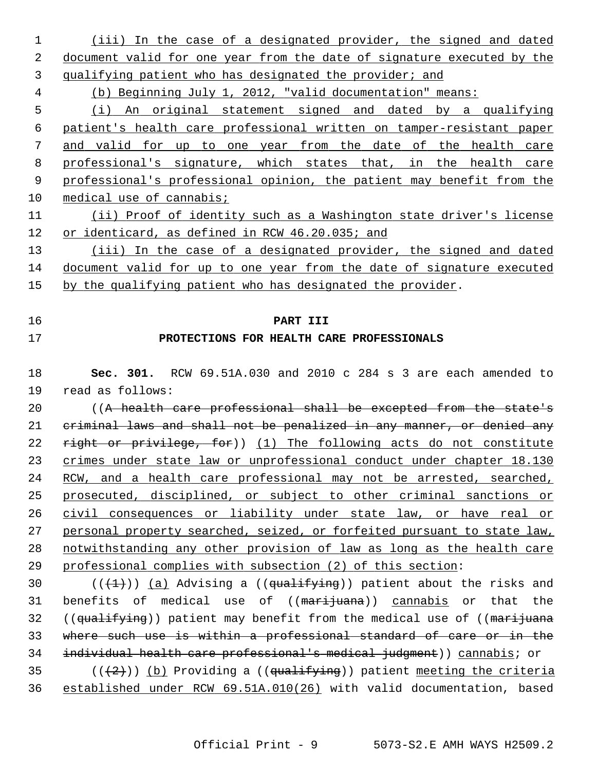| 1  | (iii) In the case of a designated provider, the signed and dated              |
|----|-------------------------------------------------------------------------------|
| 2  | document valid for one year from the date of signature executed by the        |
| 3  | qualifying patient who has designated the provider; and                       |
| 4  | (b) Beginning July 1, 2012, "valid documentation" means:                      |
| 5  | (i) An original statement signed and dated by a qualifying                    |
| 6  | patient's health care professional written on tamper-resistant paper          |
| 7  | and valid for up to one year from the date of the health care                 |
| 8  | professional's signature, which states that, in the health care               |
| 9  | professional's professional opinion, the patient may benefit from the         |
| 10 | medical use of cannabis;                                                      |
| 11 | (ii) Proof of identity such as a Washington state driver's license            |
| 12 | or identicard, as defined in RCW 46.20.035; and                               |
| 13 | (iii) In the case of a designated provider, the signed and dated              |
| 14 | document valid for up to one year from the date of signature executed         |
| 15 | by the qualifying patient who has designated the provider.                    |
|    |                                                                               |
| 16 | PART III                                                                      |
| 17 | PROTECTIONS FOR HEALTH CARE PROFESSIONALS                                     |
|    |                                                                               |
| 18 | Sec. 301. RCW 69.51A.030 and 2010 c 284 s 3 are each amended to               |
| 19 | read as follows:                                                              |
| 20 | ((A health care professional shall be excepted from the state's               |
| 21 | eriminal laws and shall not be penalized in any manner, or denied any         |
| 22 | right or privilege, for)) (1) The following acts do not constitute            |
| 23 | crimes under state law or unprofessional conduct under chapter 18.130         |
| 24 | RCW, and a health care professional may not be arrested, searched,            |
| 25 | prosecuted, disciplined, or subject to other criminal sanctions or            |
| 26 | civil consequences or liability under state law, or have real or              |
| 27 | personal property searched, seized, or forfeited pursuant to state law,       |
| 28 | notwithstanding any other provision of law as long as the health care         |
| 29 | professional complies with subsection (2) of this section:                    |
| 30 | $((+1))$ (a) Advising a ((qualifying)) patient about the risks and            |
| 31 | benefits of medical use of (( <del>marijuana</del> )) cannabis or<br>that the |
| 32 | ((qualifying)) patient may benefit from the medical use of ((marijuana        |
| 33 | where such use is within a professional standard of care or in the            |
| 34 | individual health care professional's medical judgment)) cannabis; or         |
| 35 | $((+2))$ (b) Providing a ((qualifying)) patient meeting the criteria          |
| 36 | established under RCW 69.51A.010(26) with valid documentation, based          |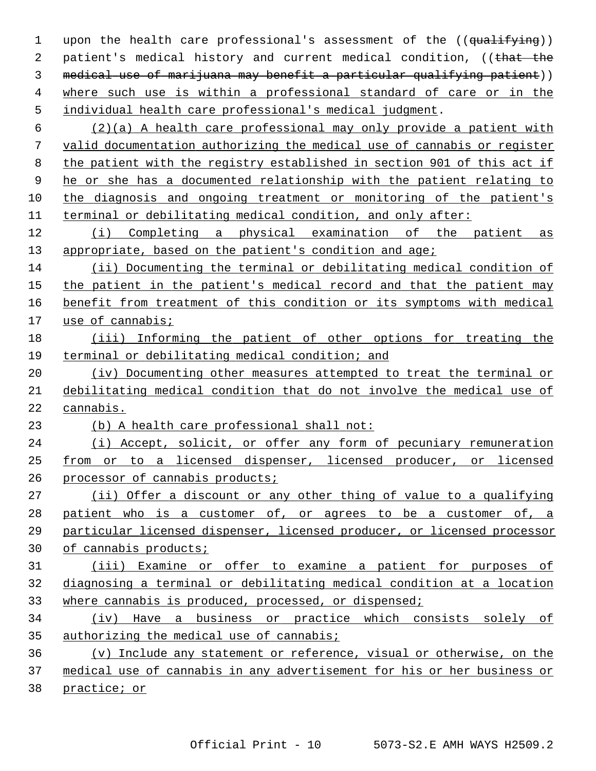1 upon the health care professional's assessment of the ((qualifying)) 2 patient's medical history and current medical condition, ((that the medical use of marijuana may benefit a particular qualifying patient)) where such use is within a professional standard of care or in the individual health care professional's medical judgment.

 (2)(a) A health care professional may only provide a patient with valid documentation authorizing the medical use of cannabis or register the patient with the registry established in section 901 of this act if he or she has a documented relationship with the patient relating to the diagnosis and ongoing treatment or monitoring of the patient's terminal or debilitating medical condition, and only after:

 (i) Completing a physical examination of the patient as appropriate, based on the patient's condition and age;

 (ii) Documenting the terminal or debilitating medical condition of the patient in the patient's medical record and that the patient may benefit from treatment of this condition or its symptoms with medical use of cannabis;

## (iii) Informing the patient of other options for treating the terminal or debilitating medical condition; and

 (iv) Documenting other measures attempted to treat the terminal or debilitating medical condition that do not involve the medical use of cannabis.

(b) A health care professional shall not:

 (i) Accept, solicit, or offer any form of pecuniary remuneration from or to a licensed dispenser, licensed producer, or licensed processor of cannabis products;

 (ii) Offer a discount or any other thing of value to a qualifying patient who is a customer of, or agrees to be a customer of, a particular licensed dispenser, licensed producer, or licensed processor of cannabis products;

## (iii) Examine or offer to examine a patient for purposes of diagnosing a terminal or debilitating medical condition at a location where cannabis is produced, processed, or dispensed;

 (iv) Have a business or practice which consists solely of authorizing the medical use of cannabis;

 (v) Include any statement or reference, visual or otherwise, on the medical use of cannabis in any advertisement for his or her business or practice; or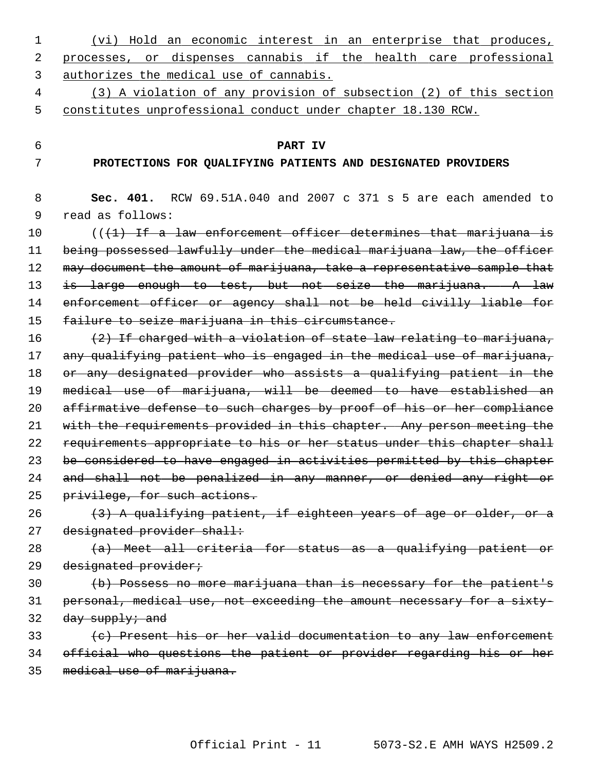- 1 (vi) Hold an economic interest in an enterprise that produces, 2 processes, or dispenses cannabis if the health care professional 3 authorizes the medical use of cannabis.
- 4 (3) A violation of any provision of subsection (2) of this section 5 constitutes unprofessional conduct under chapter 18.130 RCW.

### 6 **PART IV**

#### 7 **PROTECTIONS FOR QUALIFYING PATIENTS AND DESIGNATED PROVIDERS**

| 8  | RCW 69.51A.040 and 2007 c 371 s 5 are each amended to<br>Sec. 401.          |
|----|-----------------------------------------------------------------------------|
| 9  | read as follows:                                                            |
| 10 | (( <del>(1) If a law enforcement officer determines that marijuana is</del> |
| 11 | being possessed lawfully under the medical marijuana law, the officer       |
| 12 | may document the amount of marijuana, take a representative sample that     |
| 13 | is large enough to test, but not seize the marijuana. A law                 |
| 14 | enforcement officer or agency shall not be held civilly liable for          |
| 15 | failure to seize marijuana in this circumstance.                            |
| 16 | (2) If charged with a violation of state law relating to marijuana,         |
| 17 | any qualifying patient who is engaged in the medical use of marijuana,      |
| 18 | or any designated provider who assists a qualifying patient in the          |
| 19 | medical use of marijuana, will be deemed to have established an             |
| 20 | affirmative defense to such charges by proof of his or her compliance       |
| 21 | with the requirements provided in this chapter. Any person meeting the      |
| 22 | requirements appropriate to his or her status under this chapter shall      |
| 23 | be considered to have engaged in activities permitted by this chapter       |
| 24 | and shall not be penalized in any manner, or denied any right or            |
| 25 | privilege, for such actions.                                                |
| 26 | (3) A qualifying patient, if eighteen years of age or older, or a           |
| 27 | designated provider shall:                                                  |
| 28 | (a) Meet all criteria for status as a qualifying patient or                 |
| 29 | designated provider;                                                        |
| 30 | (b) Possess no more marijuana than is necessary for the patient's           |
| 31 | personal, medical use, not exceeding the amount necessary for a sixty-      |
| 32 | $day$ supply; and                                                           |
| 33 | (c) Present his or her valid documentation to any law enforcement           |
| 34 | official who questions the patient or provider regarding his or her         |
| 35 | medical use of marijuana.                                                   |
|    |                                                                             |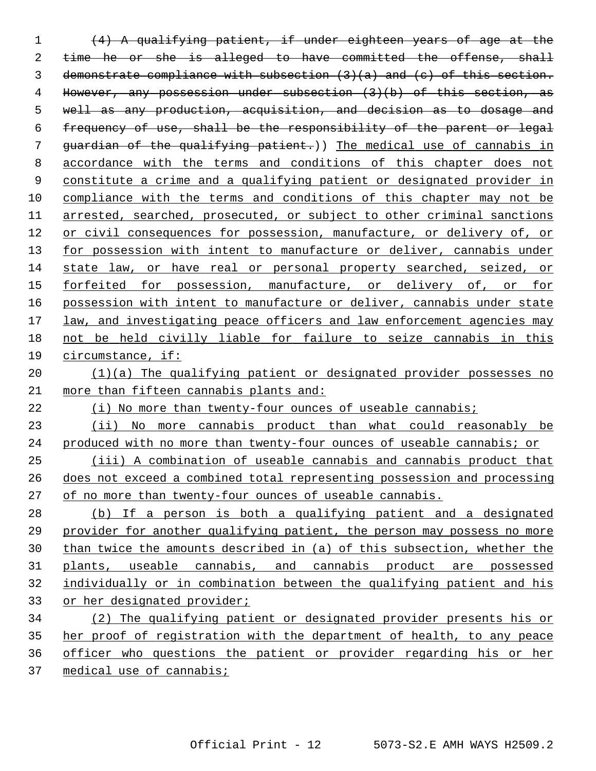(4) A qualifying patient, if under eighteen years of age at the 2 time he or she is alleged to have committed the offense, shall demonstrate compliance with subsection (3)(a) and (c) of this section. However, any possession under subsection (3)(b) of this section, as well as any production, acquisition, and decision as to dosage and frequency of use, shall be the responsibility of the parent or legal guardian of the qualifying patient.)) The medical use of cannabis in accordance with the terms and conditions of this chapter does not constitute a crime and a qualifying patient or designated provider in compliance with the terms and conditions of this chapter may not be arrested, searched, prosecuted, or subject to other criminal sanctions or civil consequences for possession, manufacture, or delivery of, or for possession with intent to manufacture or deliver, cannabis under state law, or have real or personal property searched, seized, or forfeited for possession, manufacture, or delivery of, or for possession with intent to manufacture or deliver, cannabis under state law, and investigating peace officers and law enforcement agencies may 18 not be held civilly liable for failure to seize cannabis in this circumstance, if: 20 (1)(a) The qualifying patient or designated provider possesses no more than fifteen cannabis plants and: (i) No more than twenty-four ounces of useable cannabis; (ii) No more cannabis product than what could reasonably be produced with no more than twenty-four ounces of useable cannabis; or (iii) A combination of useable cannabis and cannabis product that does not exceed a combined total representing possession and processing of no more than twenty-four ounces of useable cannabis. (b) If a person is both a qualifying patient and a designated provider for another qualifying patient, the person may possess no more than twice the amounts described in (a) of this subsection, whether the plants, useable cannabis, and cannabis product are possessed individually or in combination between the qualifying patient and his or her designated provider; (2) The qualifying patient or designated provider presents his or her proof of registration with the department of health, to any peace

officer who questions the patient or provider regarding his or her

medical use of cannabis;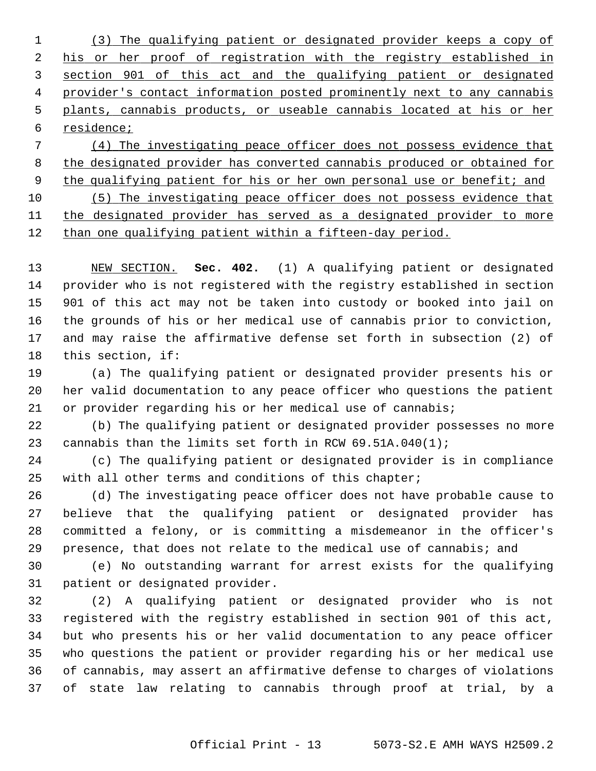(3) The qualifying patient or designated provider keeps a copy of his or her proof of registration with the registry established in section 901 of this act and the qualifying patient or designated provider's contact information posted prominently next to any cannabis plants, cannabis products, or useable cannabis located at his or her residence;

 (4) The investigating peace officer does not possess evidence that the designated provider has converted cannabis produced or obtained for the qualifying patient for his or her own personal use or benefit; and (5) The investigating peace officer does not possess evidence that the designated provider has served as a designated provider to more

12 than one qualifying patient within a fifteen-day period.

13 NEW SECTION. **Sec. 402.** (1) A qualifying patient or designated 14 provider who is not registered with the registry established in section 15 901 of this act may not be taken into custody or booked into jail on 16 the grounds of his or her medical use of cannabis prior to conviction, 17 and may raise the affirmative defense set forth in subsection (2) of 18 this section, if:

19 (a) The qualifying patient or designated provider presents his or 20 her valid documentation to any peace officer who questions the patient 21 or provider regarding his or her medical use of cannabis;

22 (b) The qualifying patient or designated provider possesses no more 23 cannabis than the limits set forth in RCW 69.51A.040(1);

24 (c) The qualifying patient or designated provider is in compliance 25 with all other terms and conditions of this chapter;

26 (d) The investigating peace officer does not have probable cause to 27 believe that the qualifying patient or designated provider has 28 committed a felony, or is committing a misdemeanor in the officer's 29 presence, that does not relate to the medical use of cannabis; and

30 (e) No outstanding warrant for arrest exists for the qualifying 31 patient or designated provider.

32 (2) A qualifying patient or designated provider who is not 33 registered with the registry established in section 901 of this act, 34 but who presents his or her valid documentation to any peace officer 35 who questions the patient or provider regarding his or her medical use 36 of cannabis, may assert an affirmative defense to charges of violations 37 of state law relating to cannabis through proof at trial, by a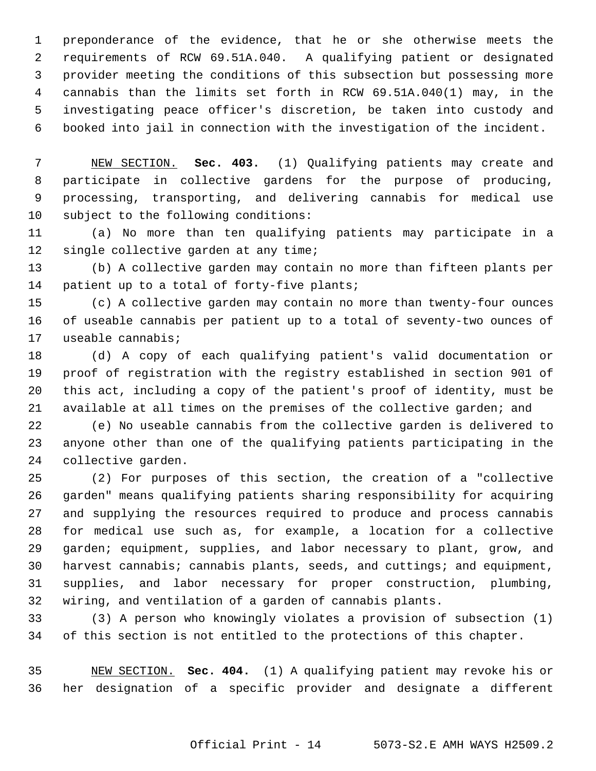1 preponderance of the evidence, that he or she otherwise meets the 2 requirements of RCW 69.51A.040. A qualifying patient or designated 3 provider meeting the conditions of this subsection but possessing more 4 cannabis than the limits set forth in RCW 69.51A.040(1) may, in the 5 investigating peace officer's discretion, be taken into custody and 6 booked into jail in connection with the investigation of the incident.

 7 NEW SECTION. **Sec. 403.** (1) Qualifying patients may create and 8 participate in collective gardens for the purpose of producing, 9 processing, transporting, and delivering cannabis for medical use 10 subject to the following conditions:

11 (a) No more than ten qualifying patients may participate in a 12 single collective garden at any time;

13 (b) A collective garden may contain no more than fifteen plants per 14 patient up to a total of forty-five plants;

15 (c) A collective garden may contain no more than twenty-four ounces 16 of useable cannabis per patient up to a total of seventy-two ounces of 17 useable cannabis;

18 (d) A copy of each qualifying patient's valid documentation or 19 proof of registration with the registry established in section 901 of 20 this act, including a copy of the patient's proof of identity, must be 21 available at all times on the premises of the collective garden; and

22 (e) No useable cannabis from the collective garden is delivered to 23 anyone other than one of the qualifying patients participating in the 24 collective garden.

25 (2) For purposes of this section, the creation of a "collective 26 garden" means qualifying patients sharing responsibility for acquiring 27 and supplying the resources required to produce and process cannabis 28 for medical use such as, for example, a location for a collective 29 garden; equipment, supplies, and labor necessary to plant, grow, and 30 harvest cannabis; cannabis plants, seeds, and cuttings; and equipment, 31 supplies, and labor necessary for proper construction, plumbing, 32 wiring, and ventilation of a garden of cannabis plants.

33 (3) A person who knowingly violates a provision of subsection (1) 34 of this section is not entitled to the protections of this chapter.

35 NEW SECTION. **Sec. 404.** (1) A qualifying patient may revoke his or 36 her designation of a specific provider and designate a different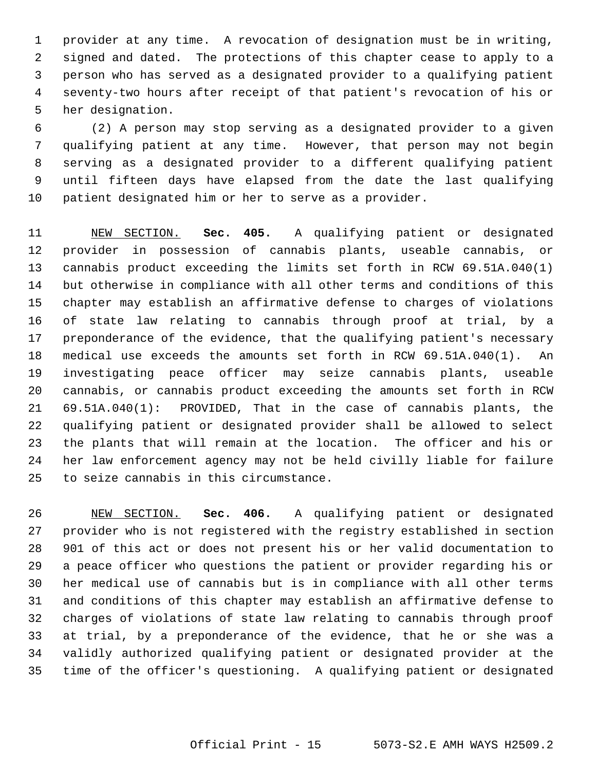1 provider at any time. A revocation of designation must be in writing, 2 signed and dated. The protections of this chapter cease to apply to a 3 person who has served as a designated provider to a qualifying patient 4 seventy-two hours after receipt of that patient's revocation of his or 5 her designation.

 6 (2) A person may stop serving as a designated provider to a given 7 qualifying patient at any time. However, that person may not begin 8 serving as a designated provider to a different qualifying patient 9 until fifteen days have elapsed from the date the last qualifying 10 patient designated him or her to serve as a provider.

11 NEW SECTION. **Sec. 405.** A qualifying patient or designated 12 provider in possession of cannabis plants, useable cannabis, or 13 cannabis product exceeding the limits set forth in RCW 69.51A.040(1) 14 but otherwise in compliance with all other terms and conditions of this 15 chapter may establish an affirmative defense to charges of violations 16 of state law relating to cannabis through proof at trial, by a 17 preponderance of the evidence, that the qualifying patient's necessary 18 medical use exceeds the amounts set forth in RCW 69.51A.040(1). An 19 investigating peace officer may seize cannabis plants, useable 20 cannabis, or cannabis product exceeding the amounts set forth in RCW 21 69.51A.040(1): PROVIDED, That in the case of cannabis plants, the 22 qualifying patient or designated provider shall be allowed to select 23 the plants that will remain at the location. The officer and his or 24 her law enforcement agency may not be held civilly liable for failure 25 to seize cannabis in this circumstance.

26 NEW SECTION. **Sec. 406.** A qualifying patient or designated 27 provider who is not registered with the registry established in section 28 901 of this act or does not present his or her valid documentation to 29 a peace officer who questions the patient or provider regarding his or 30 her medical use of cannabis but is in compliance with all other terms 31 and conditions of this chapter may establish an affirmative defense to 32 charges of violations of state law relating to cannabis through proof 33 at trial, by a preponderance of the evidence, that he or she was a 34 validly authorized qualifying patient or designated provider at the 35 time of the officer's questioning. A qualifying patient or designated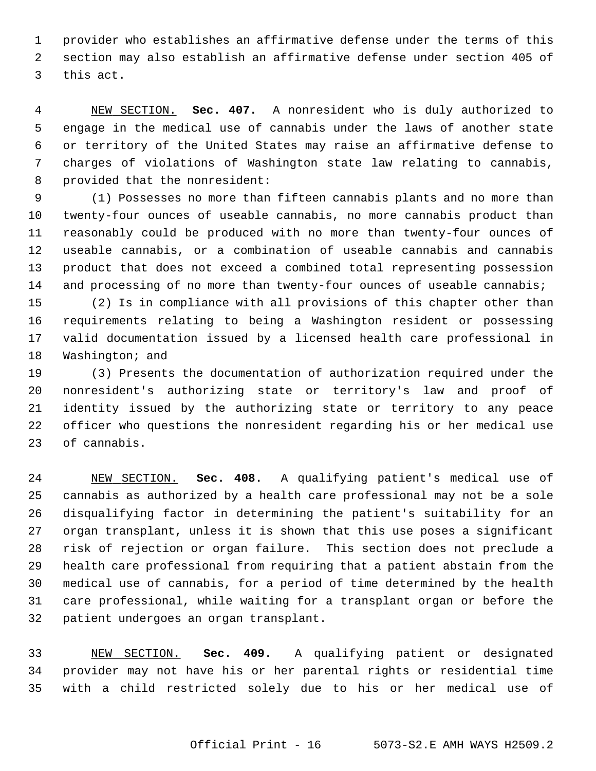1 provider who establishes an affirmative defense under the terms of this 2 section may also establish an affirmative defense under section 405 of 3 this act.

 4 NEW SECTION. **Sec. 407.** A nonresident who is duly authorized to 5 engage in the medical use of cannabis under the laws of another state 6 or territory of the United States may raise an affirmative defense to 7 charges of violations of Washington state law relating to cannabis, 8 provided that the nonresident:

 9 (1) Possesses no more than fifteen cannabis plants and no more than 10 twenty-four ounces of useable cannabis, no more cannabis product than 11 reasonably could be produced with no more than twenty-four ounces of 12 useable cannabis, or a combination of useable cannabis and cannabis 13 product that does not exceed a combined total representing possession 14 and processing of no more than twenty-four ounces of useable cannabis;

15 (2) Is in compliance with all provisions of this chapter other than 16 requirements relating to being a Washington resident or possessing 17 valid documentation issued by a licensed health care professional in 18 Washington; and

19 (3) Presents the documentation of authorization required under the 20 nonresident's authorizing state or territory's law and proof of 21 identity issued by the authorizing state or territory to any peace 22 officer who questions the nonresident regarding his or her medical use 23 of cannabis.

24 NEW SECTION. **Sec. 408.** A qualifying patient's medical use of 25 cannabis as authorized by a health care professional may not be a sole 26 disqualifying factor in determining the patient's suitability for an 27 organ transplant, unless it is shown that this use poses a significant 28 risk of rejection or organ failure. This section does not preclude a 29 health care professional from requiring that a patient abstain from the 30 medical use of cannabis, for a period of time determined by the health 31 care professional, while waiting for a transplant organ or before the 32 patient undergoes an organ transplant.

33 NEW SECTION. **Sec. 409.** A qualifying patient or designated 34 provider may not have his or her parental rights or residential time 35 with a child restricted solely due to his or her medical use of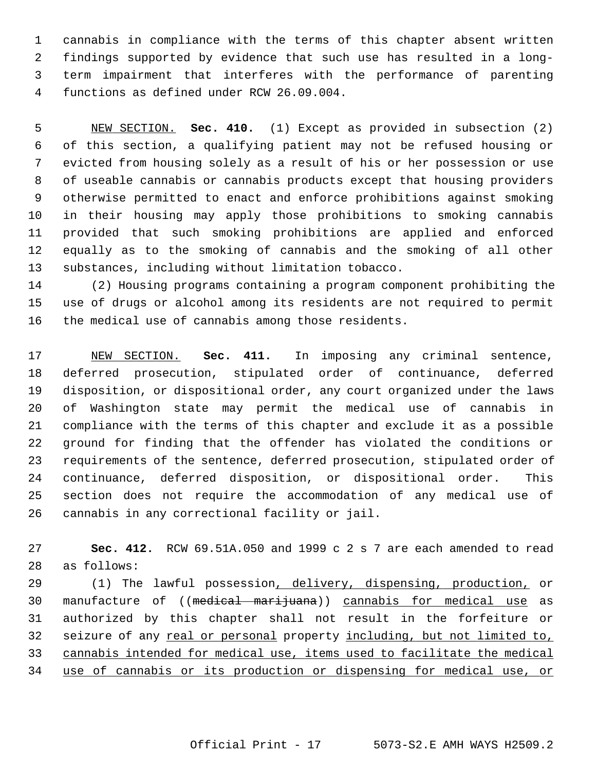1 cannabis in compliance with the terms of this chapter absent written 2 findings supported by evidence that such use has resulted in a long- 3 term impairment that interferes with the performance of parenting 4 functions as defined under RCW 26.09.004.

 5 NEW SECTION. **Sec. 410.** (1) Except as provided in subsection (2) 6 of this section, a qualifying patient may not be refused housing or 7 evicted from housing solely as a result of his or her possession or use 8 of useable cannabis or cannabis products except that housing providers 9 otherwise permitted to enact and enforce prohibitions against smoking 10 in their housing may apply those prohibitions to smoking cannabis 11 provided that such smoking prohibitions are applied and enforced 12 equally as to the smoking of cannabis and the smoking of all other 13 substances, including without limitation tobacco.

14 (2) Housing programs containing a program component prohibiting the 15 use of drugs or alcohol among its residents are not required to permit 16 the medical use of cannabis among those residents.

17 NEW SECTION. **Sec. 411.** In imposing any criminal sentence, 18 deferred prosecution, stipulated order of continuance, deferred 19 disposition, or dispositional order, any court organized under the laws 20 of Washington state may permit the medical use of cannabis in 21 compliance with the terms of this chapter and exclude it as a possible 22 ground for finding that the offender has violated the conditions or 23 requirements of the sentence, deferred prosecution, stipulated order of 24 continuance, deferred disposition, or dispositional order. This 25 section does not require the accommodation of any medical use of 26 cannabis in any correctional facility or jail.

27 **Sec. 412.** RCW 69.51A.050 and 1999 c 2 s 7 are each amended to read 28 as follows:

29 (1) The lawful possession, delivery, dispensing, production, or 30 manufacture of ((medical marijuana)) cannabis for medical use as 31 authorized by this chapter shall not result in the forfeiture or 32 seizure of any real or personal property including, but not limited to, 33 cannabis intended for medical use, items used to facilitate the medical 34 use of cannabis or its production or dispensing for medical use, or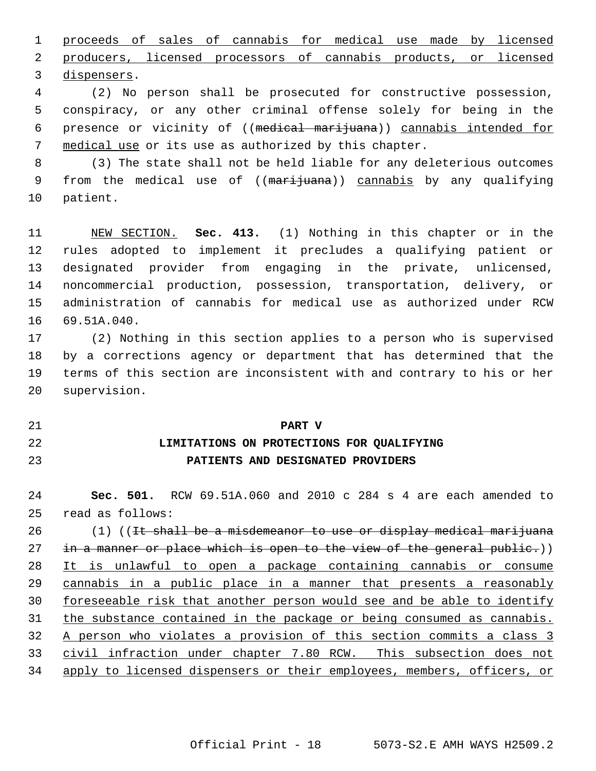1 proceeds of sales of cannabis for medical use made by licensed 2 producers, licensed processors of cannabis products, or licensed 3 dispensers.

 4 (2) No person shall be prosecuted for constructive possession, 5 conspiracy, or any other criminal offense solely for being in the 6 presence or vicinity of ((medical marijuana)) cannabis intended for 7 medical use or its use as authorized by this chapter.

 8 (3) The state shall not be held liable for any deleterious outcomes 9 from the medical use of ((marijuana)) cannabis by any qualifying 10 patient.

11 NEW SECTION. **Sec. 413.** (1) Nothing in this chapter or in the 12 rules adopted to implement it precludes a qualifying patient or 13 designated provider from engaging in the private, unlicensed, 14 noncommercial production, possession, transportation, delivery, or 15 administration of cannabis for medical use as authorized under RCW 16 69.51A.040.

17 (2) Nothing in this section applies to a person who is supervised 18 by a corrections agency or department that has determined that the 19 terms of this section are inconsistent with and contrary to his or her 20 supervision.

## 21 **PART V** 22 **LIMITATIONS ON PROTECTIONS FOR QUALIFYING**

23 **PATIENTS AND DESIGNATED PROVIDERS**

24 **Sec. 501.** RCW 69.51A.060 and 2010 c 284 s 4 are each amended to 25 read as follows:

 (1) ((<del>It shall be a misdemeanor to use or display medical marijuana</del> 27 in a manner or place which is open to the view of the general public.)) It is unlawful to open a package containing cannabis or consume cannabis in a public place in a manner that presents a reasonably foreseeable risk that another person would see and be able to identify 31 the substance contained in the package or being consumed as cannabis. A person who violates a provision of this section commits a class 3 civil infraction under chapter 7.80 RCW. This subsection does not apply to licensed dispensers or their employees, members, officers, or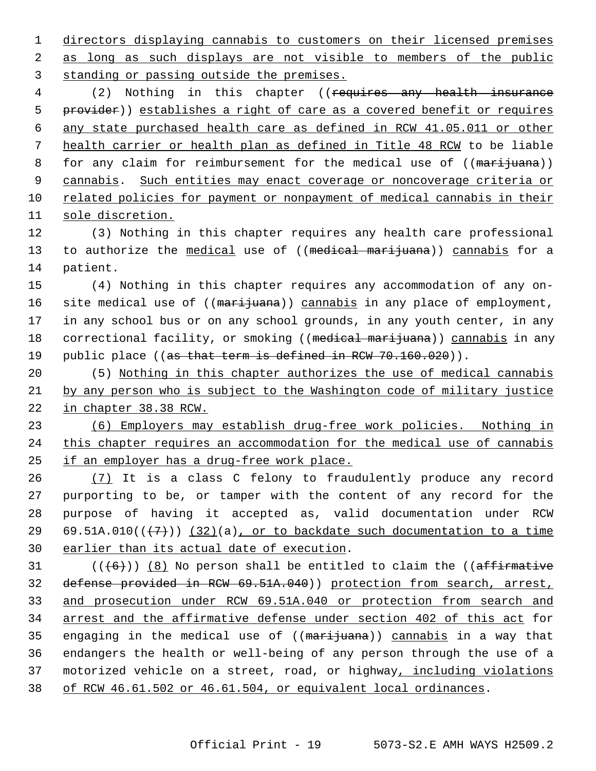1 directors displaying cannabis to customers on their licensed premises 2 as long as such displays are not visible to members of the public 3 standing or passing outside the premises.

4 (2) Nothing in this chapter ((requires any health insurance provider)) establishes a right of care as a covered benefit or requires any state purchased health care as defined in RCW 41.05.011 or other health carrier or health plan as defined in Title 48 RCW to be liable 8 for any claim for reimbursement for the medical use of ((marijuana)) cannabis. Such entities may enact coverage or noncoverage criteria or related policies for payment or nonpayment of medical cannabis in their sole discretion.

12 (3) Nothing in this chapter requires any health care professional 13 to authorize the medical use of ((medical marijuana)) cannabis for a 14 patient.

15 (4) Nothing in this chapter requires any accommodation of any on-16 site medical use of ((marijuana)) cannabis in any place of employment, 17 in any school bus or on any school grounds, in any youth center, in any 18 correctional facility, or smoking ((medical marijuana)) cannabis in any 19 public place ((as that term is defined in RCW 70.160.020)).

20 (5) Nothing in this chapter authorizes the use of medical cannabis 21 by any person who is subject to the Washington code of military justice 22 in chapter 38.38 RCW.

23 (6) Employers may establish drug-free work policies. Nothing in 24 this chapter requires an accommodation for the medical use of cannabis 25 if an employer has a drug-free work place.

26 (7) It is a class C felony to fraudulently produce any record 27 purporting to be, or tamper with the content of any record for the 28 purpose of having it accepted as, valid documentation under RCW 29 69.51A.010( $(\overline{+7})$ ) (32)(a), or to backdate such documentation to a time 30 earlier than its actual date of execution.

 $((+6))$  (8) No person shall be entitled to claim the ((affirmative defense provided in RCW 69.51A.040)) protection from search, arrest, and prosecution under RCW 69.51A.040 or protection from search and arrest and the affirmative defense under section 402 of this act for 35 engaging in the medical use of ((marijuana)) cannabis in a way that 36 endangers the health or well-being of any person through the use of a 37 motorized vehicle on a street, road, or highway, including violations of RCW 46.61.502 or 46.61.504, or equivalent local ordinances.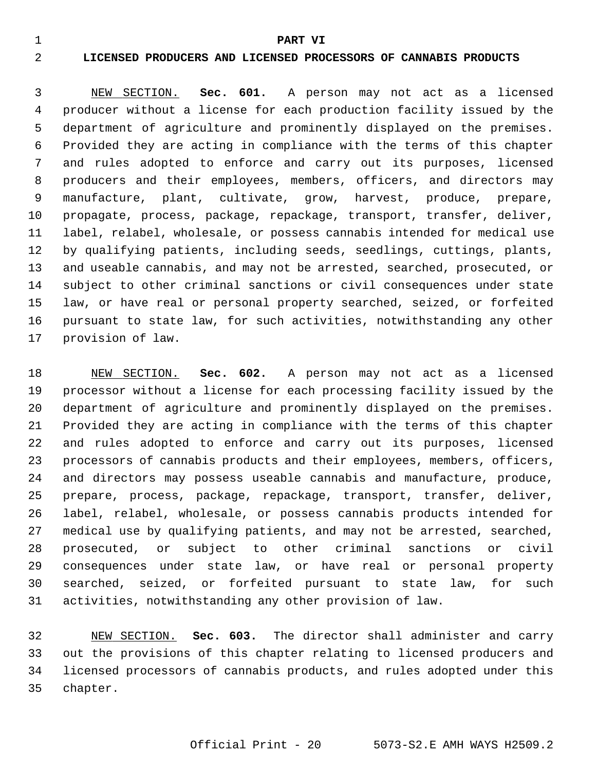#### 1 **PART VI**

#### 2 **LICENSED PRODUCERS AND LICENSED PROCESSORS OF CANNABIS PRODUCTS**

 3 NEW SECTION. **Sec. 601.** A person may not act as a licensed 4 producer without a license for each production facility issued by the 5 department of agriculture and prominently displayed on the premises. 6 Provided they are acting in compliance with the terms of this chapter 7 and rules adopted to enforce and carry out its purposes, licensed 8 producers and their employees, members, officers, and directors may 9 manufacture, plant, cultivate, grow, harvest, produce, prepare, 10 propagate, process, package, repackage, transport, transfer, deliver, 11 label, relabel, wholesale, or possess cannabis intended for medical use 12 by qualifying patients, including seeds, seedlings, cuttings, plants, 13 and useable cannabis, and may not be arrested, searched, prosecuted, or 14 subject to other criminal sanctions or civil consequences under state 15 law, or have real or personal property searched, seized, or forfeited 16 pursuant to state law, for such activities, notwithstanding any other 17 provision of law.

18 NEW SECTION. **Sec. 602.** A person may not act as a licensed 19 processor without a license for each processing facility issued by the 20 department of agriculture and prominently displayed on the premises. 21 Provided they are acting in compliance with the terms of this chapter 22 and rules adopted to enforce and carry out its purposes, licensed 23 processors of cannabis products and their employees, members, officers, 24 and directors may possess useable cannabis and manufacture, produce, 25 prepare, process, package, repackage, transport, transfer, deliver, 26 label, relabel, wholesale, or possess cannabis products intended for 27 medical use by qualifying patients, and may not be arrested, searched, 28 prosecuted, or subject to other criminal sanctions or civil 29 consequences under state law, or have real or personal property 30 searched, seized, or forfeited pursuant to state law, for such 31 activities, notwithstanding any other provision of law.

32 NEW SECTION. **Sec. 603.** The director shall administer and carry 33 out the provisions of this chapter relating to licensed producers and 34 licensed processors of cannabis products, and rules adopted under this 35 chapter.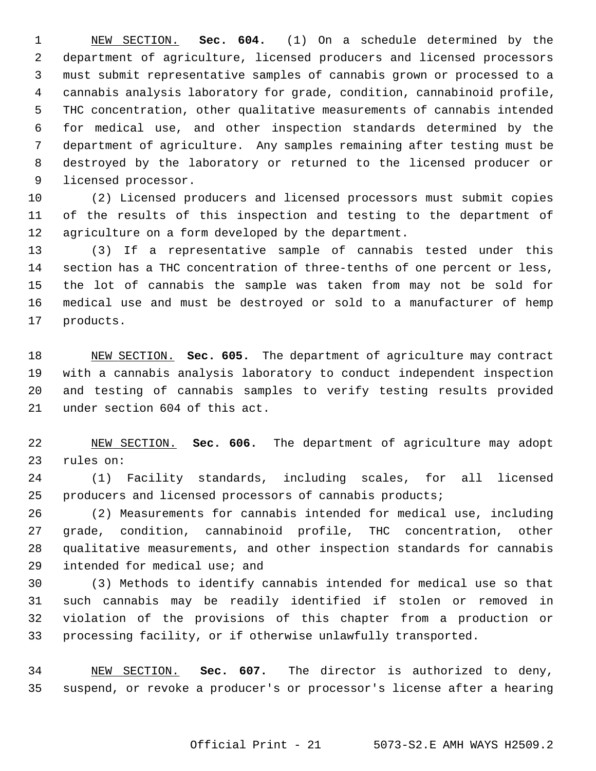1 NEW SECTION. **Sec. 604.** (1) On a schedule determined by the 2 department of agriculture, licensed producers and licensed processors 3 must submit representative samples of cannabis grown or processed to a 4 cannabis analysis laboratory for grade, condition, cannabinoid profile, 5 THC concentration, other qualitative measurements of cannabis intended 6 for medical use, and other inspection standards determined by the 7 department of agriculture. Any samples remaining after testing must be 8 destroyed by the laboratory or returned to the licensed producer or 9 licensed processor.

10 (2) Licensed producers and licensed processors must submit copies 11 of the results of this inspection and testing to the department of 12 agriculture on a form developed by the department.

13 (3) If a representative sample of cannabis tested under this 14 section has a THC concentration of three-tenths of one percent or less, 15 the lot of cannabis the sample was taken from may not be sold for 16 medical use and must be destroyed or sold to a manufacturer of hemp 17 products.

18 NEW SECTION. **Sec. 605.** The department of agriculture may contract 19 with a cannabis analysis laboratory to conduct independent inspection 20 and testing of cannabis samples to verify testing results provided 21 under section 604 of this act.

22 NEW SECTION. **Sec. 606.** The department of agriculture may adopt 23 rules on:

24 (1) Facility standards, including scales, for all licensed 25 producers and licensed processors of cannabis products;

26 (2) Measurements for cannabis intended for medical use, including 27 grade, condition, cannabinoid profile, THC concentration, other 28 qualitative measurements, and other inspection standards for cannabis 29 intended for medical use; and

30 (3) Methods to identify cannabis intended for medical use so that 31 such cannabis may be readily identified if stolen or removed in 32 violation of the provisions of this chapter from a production or 33 processing facility, or if otherwise unlawfully transported.

34 NEW SECTION. **Sec. 607.** The director is authorized to deny, 35 suspend, or revoke a producer's or processor's license after a hearing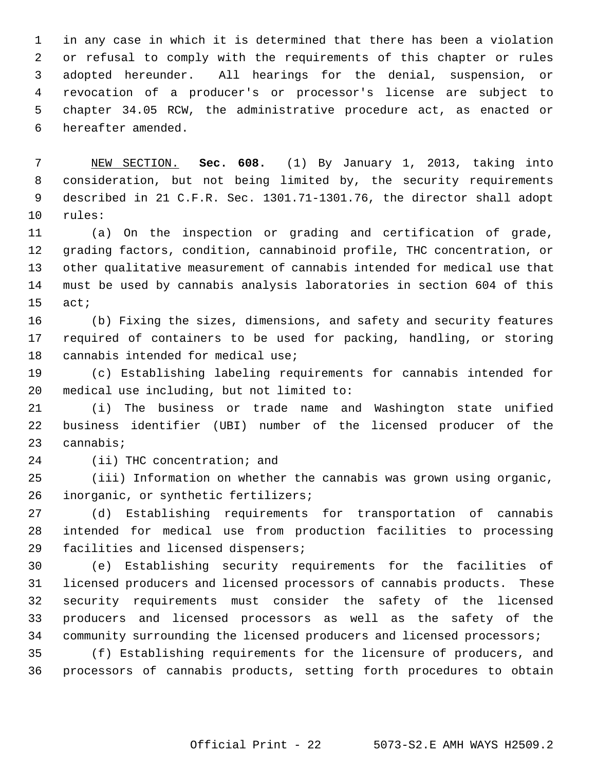1 in any case in which it is determined that there has been a violation 2 or refusal to comply with the requirements of this chapter or rules 3 adopted hereunder. All hearings for the denial, suspension, or 4 revocation of a producer's or processor's license are subject to 5 chapter 34.05 RCW, the administrative procedure act, as enacted or 6 hereafter amended.

 7 NEW SECTION. **Sec. 608.** (1) By January 1, 2013, taking into 8 consideration, but not being limited by, the security requirements 9 described in 21 C.F.R. Sec. 1301.71-1301.76, the director shall adopt 10 rules:

11 (a) On the inspection or grading and certification of grade, 12 grading factors, condition, cannabinoid profile, THC concentration, or 13 other qualitative measurement of cannabis intended for medical use that 14 must be used by cannabis analysis laboratories in section 604 of this 15 act;

16 (b) Fixing the sizes, dimensions, and safety and security features 17 required of containers to be used for packing, handling, or storing 18 cannabis intended for medical use;

19 (c) Establishing labeling requirements for cannabis intended for 20 medical use including, but not limited to:

21 (i) The business or trade name and Washington state unified 22 business identifier (UBI) number of the licensed producer of the 23 cannabis;

24 (ii) THC concentration; and

25 (iii) Information on whether the cannabis was grown using organic, 26 inorganic, or synthetic fertilizers;

27 (d) Establishing requirements for transportation of cannabis 28 intended for medical use from production facilities to processing 29 facilities and licensed dispensers;

30 (e) Establishing security requirements for the facilities of 31 licensed producers and licensed processors of cannabis products. These 32 security requirements must consider the safety of the licensed 33 producers and licensed processors as well as the safety of the 34 community surrounding the licensed producers and licensed processors;

35 (f) Establishing requirements for the licensure of producers, and 36 processors of cannabis products, setting forth procedures to obtain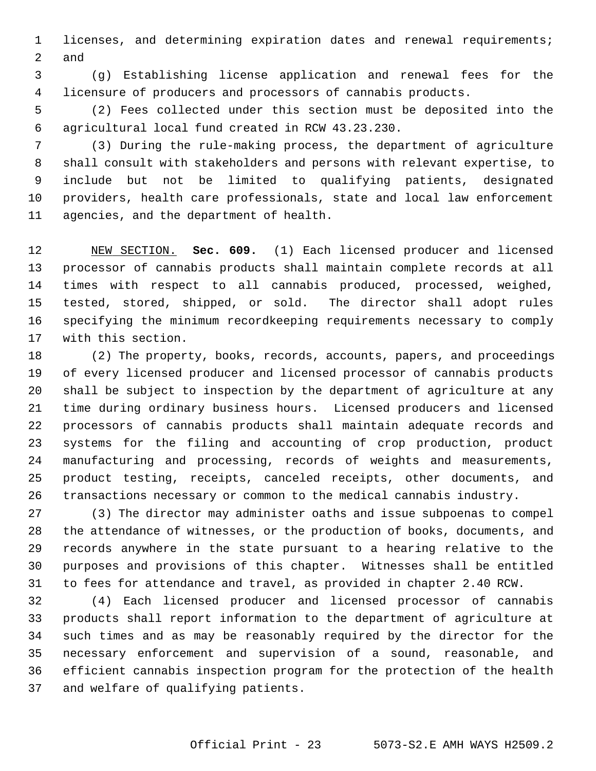1 licenses, and determining expiration dates and renewal requirements; 2 and

 3 (g) Establishing license application and renewal fees for the 4 licensure of producers and processors of cannabis products.

 5 (2) Fees collected under this section must be deposited into the 6 agricultural local fund created in RCW 43.23.230.

 7 (3) During the rule-making process, the department of agriculture 8 shall consult with stakeholders and persons with relevant expertise, to 9 include but not be limited to qualifying patients, designated 10 providers, health care professionals, state and local law enforcement 11 agencies, and the department of health.

12 NEW SECTION. **Sec. 609.** (1) Each licensed producer and licensed 13 processor of cannabis products shall maintain complete records at all 14 times with respect to all cannabis produced, processed, weighed, 15 tested, stored, shipped, or sold. The director shall adopt rules 16 specifying the minimum recordkeeping requirements necessary to comply 17 with this section.

18 (2) The property, books, records, accounts, papers, and proceedings 19 of every licensed producer and licensed processor of cannabis products 20 shall be subject to inspection by the department of agriculture at any 21 time during ordinary business hours. Licensed producers and licensed 22 processors of cannabis products shall maintain adequate records and 23 systems for the filing and accounting of crop production, product 24 manufacturing and processing, records of weights and measurements, 25 product testing, receipts, canceled receipts, other documents, and 26 transactions necessary or common to the medical cannabis industry.

27 (3) The director may administer oaths and issue subpoenas to compel 28 the attendance of witnesses, or the production of books, documents, and 29 records anywhere in the state pursuant to a hearing relative to the 30 purposes and provisions of this chapter. Witnesses shall be entitled 31 to fees for attendance and travel, as provided in chapter 2.40 RCW.

32 (4) Each licensed producer and licensed processor of cannabis 33 products shall report information to the department of agriculture at 34 such times and as may be reasonably required by the director for the 35 necessary enforcement and supervision of a sound, reasonable, and 36 efficient cannabis inspection program for the protection of the health 37 and welfare of qualifying patients.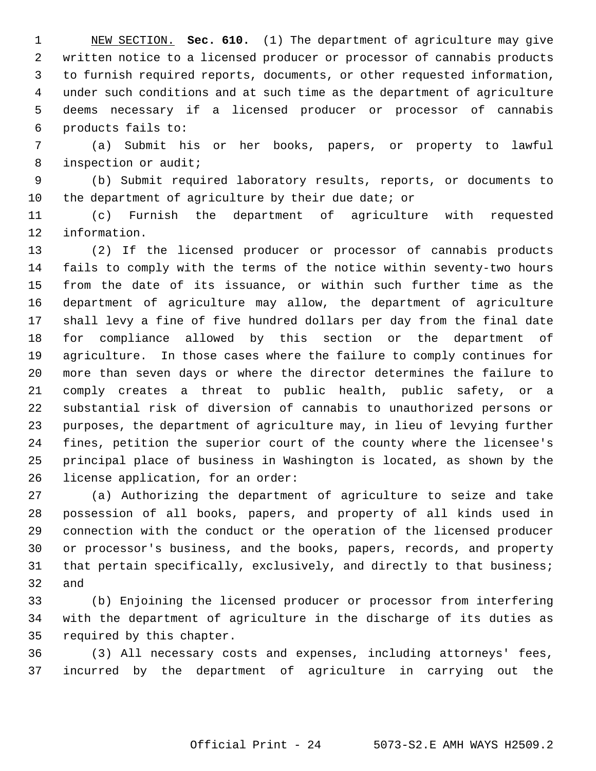1 NEW SECTION. **Sec. 610.** (1) The department of agriculture may give 2 written notice to a licensed producer or processor of cannabis products 3 to furnish required reports, documents, or other requested information, 4 under such conditions and at such time as the department of agriculture 5 deems necessary if a licensed producer or processor of cannabis 6 products fails to:

 7 (a) Submit his or her books, papers, or property to lawful 8 inspection or audit;

 9 (b) Submit required laboratory results, reports, or documents to 10 the department of agriculture by their due date; or

11 (c) Furnish the department of agriculture with requested 12 information.

13 (2) If the licensed producer or processor of cannabis products 14 fails to comply with the terms of the notice within seventy-two hours 15 from the date of its issuance, or within such further time as the 16 department of agriculture may allow, the department of agriculture 17 shall levy a fine of five hundred dollars per day from the final date 18 for compliance allowed by this section or the department of 19 agriculture. In those cases where the failure to comply continues for 20 more than seven days or where the director determines the failure to 21 comply creates a threat to public health, public safety, or a 22 substantial risk of diversion of cannabis to unauthorized persons or 23 purposes, the department of agriculture may, in lieu of levying further 24 fines, petition the superior court of the county where the licensee's 25 principal place of business in Washington is located, as shown by the 26 license application, for an order:

27 (a) Authorizing the department of agriculture to seize and take 28 possession of all books, papers, and property of all kinds used in 29 connection with the conduct or the operation of the licensed producer 30 or processor's business, and the books, papers, records, and property 31 that pertain specifically, exclusively, and directly to that business; 32 and

33 (b) Enjoining the licensed producer or processor from interfering 34 with the department of agriculture in the discharge of its duties as 35 required by this chapter.

36 (3) All necessary costs and expenses, including attorneys' fees, 37 incurred by the department of agriculture in carrying out the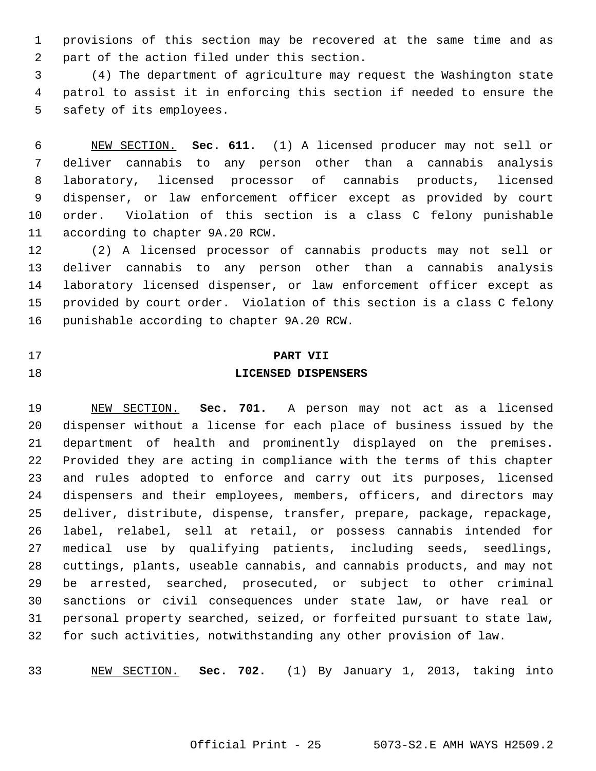1 provisions of this section may be recovered at the same time and as 2 part of the action filed under this section.

 3 (4) The department of agriculture may request the Washington state 4 patrol to assist it in enforcing this section if needed to ensure the 5 safety of its employees.

 6 NEW SECTION. **Sec. 611.** (1) A licensed producer may not sell or 7 deliver cannabis to any person other than a cannabis analysis 8 laboratory, licensed processor of cannabis products, licensed 9 dispenser, or law enforcement officer except as provided by court 10 order. Violation of this section is a class C felony punishable 11 according to chapter 9A.20 RCW.

12 (2) A licensed processor of cannabis products may not sell or 13 deliver cannabis to any person other than a cannabis analysis 14 laboratory licensed dispenser, or law enforcement officer except as 15 provided by court order. Violation of this section is a class C felony 16 punishable according to chapter 9A.20 RCW.

#### 17 **PART VII**

#### 18 **LICENSED DISPENSERS**

19 NEW SECTION. **Sec. 701.** A person may not act as a licensed 20 dispenser without a license for each place of business issued by the 21 department of health and prominently displayed on the premises. 22 Provided they are acting in compliance with the terms of this chapter 23 and rules adopted to enforce and carry out its purposes, licensed 24 dispensers and their employees, members, officers, and directors may 25 deliver, distribute, dispense, transfer, prepare, package, repackage, 26 label, relabel, sell at retail, or possess cannabis intended for 27 medical use by qualifying patients, including seeds, seedlings, 28 cuttings, plants, useable cannabis, and cannabis products, and may not 29 be arrested, searched, prosecuted, or subject to other criminal 30 sanctions or civil consequences under state law, or have real or 31 personal property searched, seized, or forfeited pursuant to state law, 32 for such activities, notwithstanding any other provision of law.

33 NEW SECTION. **Sec. 702.** (1) By January 1, 2013, taking into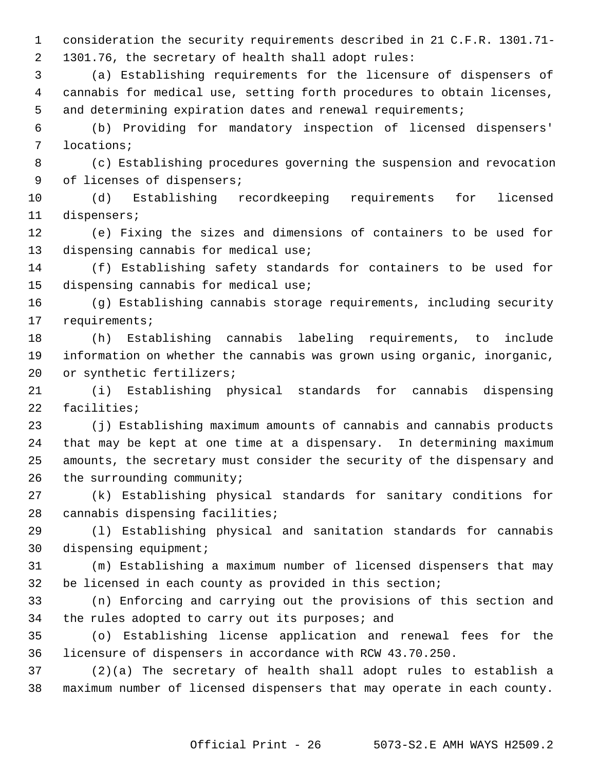1 consideration the security requirements described in 21 C.F.R. 1301.71- 2 1301.76, the secretary of health shall adopt rules:

 3 (a) Establishing requirements for the licensure of dispensers of 4 cannabis for medical use, setting forth procedures to obtain licenses, 5 and determining expiration dates and renewal requirements;

 6 (b) Providing for mandatory inspection of licensed dispensers' 7 locations;

 8 (c) Establishing procedures governing the suspension and revocation 9 of licenses of dispensers;

10 (d) Establishing recordkeeping requirements for licensed 11 dispensers;

12 (e) Fixing the sizes and dimensions of containers to be used for 13 dispensing cannabis for medical use;

14 (f) Establishing safety standards for containers to be used for 15 dispensing cannabis for medical use;

16 (g) Establishing cannabis storage requirements, including security 17 requirements;

18 (h) Establishing cannabis labeling requirements, to include 19 information on whether the cannabis was grown using organic, inorganic, 20 or synthetic fertilizers;

21 (i) Establishing physical standards for cannabis dispensing 22 facilities;

23 (j) Establishing maximum amounts of cannabis and cannabis products 24 that may be kept at one time at a dispensary. In determining maximum 25 amounts, the secretary must consider the security of the dispensary and 26 the surrounding community;

27 (k) Establishing physical standards for sanitary conditions for 28 cannabis dispensing facilities;

29 (l) Establishing physical and sanitation standards for cannabis 30 dispensing equipment;

31 (m) Establishing a maximum number of licensed dispensers that may 32 be licensed in each county as provided in this section;

33 (n) Enforcing and carrying out the provisions of this section and 34 the rules adopted to carry out its purposes; and

35 (o) Establishing license application and renewal fees for the 36 licensure of dispensers in accordance with RCW 43.70.250.

37 (2)(a) The secretary of health shall adopt rules to establish a 38 maximum number of licensed dispensers that may operate in each county.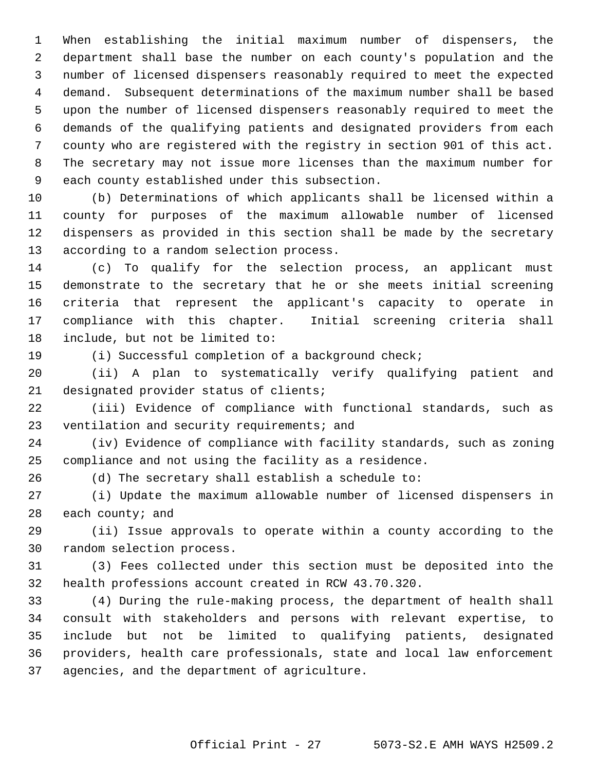1 When establishing the initial maximum number of dispensers, the 2 department shall base the number on each county's population and the 3 number of licensed dispensers reasonably required to meet the expected 4 demand. Subsequent determinations of the maximum number shall be based 5 upon the number of licensed dispensers reasonably required to meet the 6 demands of the qualifying patients and designated providers from each 7 county who are registered with the registry in section 901 of this act. 8 The secretary may not issue more licenses than the maximum number for 9 each county established under this subsection.

10 (b) Determinations of which applicants shall be licensed within a 11 county for purposes of the maximum allowable number of licensed 12 dispensers as provided in this section shall be made by the secretary 13 according to a random selection process.

14 (c) To qualify for the selection process, an applicant must 15 demonstrate to the secretary that he or she meets initial screening 16 criteria that represent the applicant's capacity to operate in 17 compliance with this chapter. Initial screening criteria shall 18 include, but not be limited to:

19 (i) Successful completion of a background check;

20 (ii) A plan to systematically verify qualifying patient and 21 designated provider status of clients;

22 (iii) Evidence of compliance with functional standards, such as 23 ventilation and security requirements; and

24 (iv) Evidence of compliance with facility standards, such as zoning 25 compliance and not using the facility as a residence.

26 (d) The secretary shall establish a schedule to:

27 (i) Update the maximum allowable number of licensed dispensers in 28 each county; and

29 (ii) Issue approvals to operate within a county according to the 30 random selection process.

31 (3) Fees collected under this section must be deposited into the 32 health professions account created in RCW 43.70.320.

33 (4) During the rule-making process, the department of health shall 34 consult with stakeholders and persons with relevant expertise, to 35 include but not be limited to qualifying patients, designated 36 providers, health care professionals, state and local law enforcement 37 agencies, and the department of agriculture.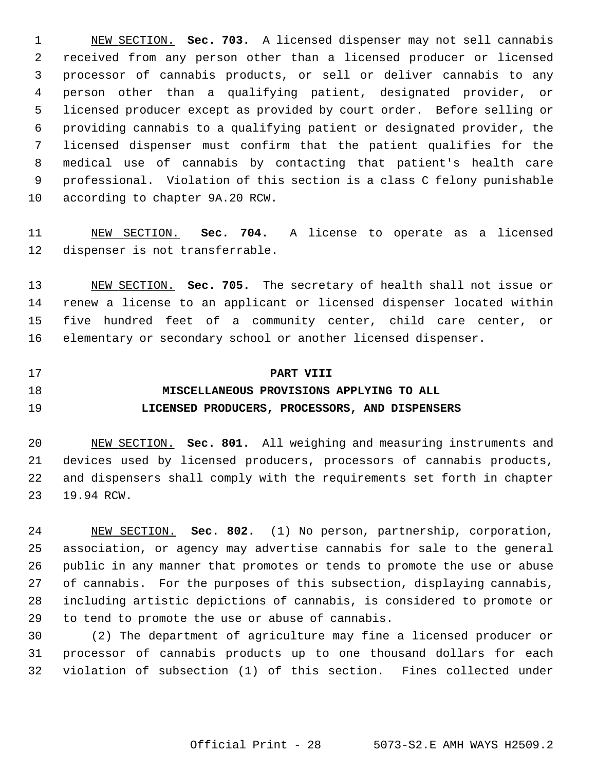1 NEW SECTION. **Sec. 703.** A licensed dispenser may not sell cannabis 2 received from any person other than a licensed producer or licensed 3 processor of cannabis products, or sell or deliver cannabis to any 4 person other than a qualifying patient, designated provider, or 5 licensed producer except as provided by court order. Before selling or 6 providing cannabis to a qualifying patient or designated provider, the 7 licensed dispenser must confirm that the patient qualifies for the 8 medical use of cannabis by contacting that patient's health care 9 professional. Violation of this section is a class C felony punishable 10 according to chapter 9A.20 RCW.

11 NEW SECTION. **Sec. 704.** A license to operate as a licensed 12 dispenser is not transferrable.

13 NEW SECTION. **Sec. 705.** The secretary of health shall not issue or 14 renew a license to an applicant or licensed dispenser located within 15 five hundred feet of a community center, child care center, or 16 elementary or secondary school or another licensed dispenser.

17 **PART VIII**

## 18 **MISCELLANEOUS PROVISIONS APPLYING TO ALL** 19 **LICENSED PRODUCERS, PROCESSORS, AND DISPENSERS**

20 NEW SECTION. **Sec. 801.** All weighing and measuring instruments and 21 devices used by licensed producers, processors of cannabis products, 22 and dispensers shall comply with the requirements set forth in chapter 23 19.94 RCW.

24 NEW SECTION. **Sec. 802.** (1) No person, partnership, corporation, 25 association, or agency may advertise cannabis for sale to the general 26 public in any manner that promotes or tends to promote the use or abuse 27 of cannabis. For the purposes of this subsection, displaying cannabis, 28 including artistic depictions of cannabis, is considered to promote or 29 to tend to promote the use or abuse of cannabis.

30 (2) The department of agriculture may fine a licensed producer or 31 processor of cannabis products up to one thousand dollars for each 32 violation of subsection (1) of this section. Fines collected under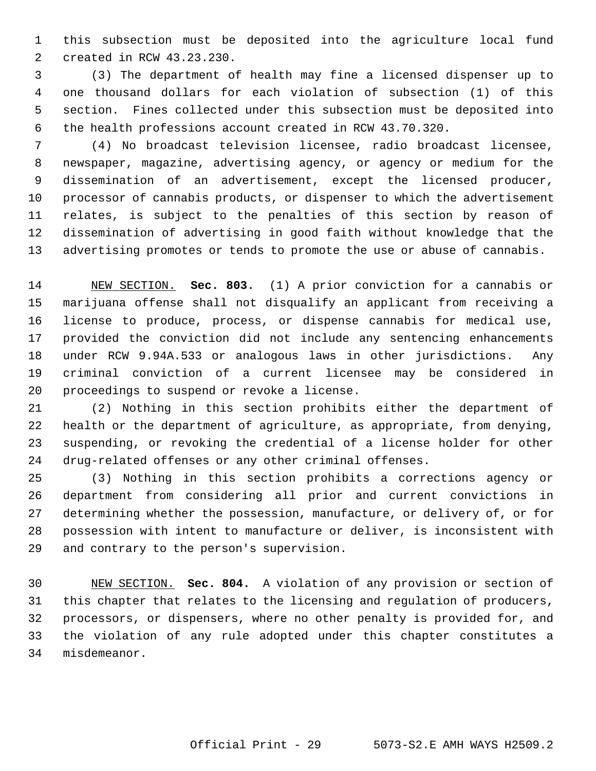1 this subsection must be deposited into the agriculture local fund 2 created in RCW 43.23.230.

 3 (3) The department of health may fine a licensed dispenser up to 4 one thousand dollars for each violation of subsection (1) of this 5 section. Fines collected under this subsection must be deposited into 6 the health professions account created in RCW 43.70.320.

 7 (4) No broadcast television licensee, radio broadcast licensee, 8 newspaper, magazine, advertising agency, or agency or medium for the 9 dissemination of an advertisement, except the licensed producer, 10 processor of cannabis products, or dispenser to which the advertisement 11 relates, is subject to the penalties of this section by reason of 12 dissemination of advertising in good faith without knowledge that the 13 advertising promotes or tends to promote the use or abuse of cannabis.

14 NEW SECTION. **Sec. 803.** (1) A prior conviction for a cannabis or 15 marijuana offense shall not disqualify an applicant from receiving a 16 license to produce, process, or dispense cannabis for medical use, 17 provided the conviction did not include any sentencing enhancements 18 under RCW 9.94A.533 or analogous laws in other jurisdictions. Any 19 criminal conviction of a current licensee may be considered in 20 proceedings to suspend or revoke a license.

21 (2) Nothing in this section prohibits either the department of 22 health or the department of agriculture, as appropriate, from denying, 23 suspending, or revoking the credential of a license holder for other 24 drug-related offenses or any other criminal offenses.

25 (3) Nothing in this section prohibits a corrections agency or 26 department from considering all prior and current convictions in 27 determining whether the possession, manufacture, or delivery of, or for 28 possession with intent to manufacture or deliver, is inconsistent with 29 and contrary to the person's supervision.

30 NEW SECTION. **Sec. 804.** A violation of any provision or section of 31 this chapter that relates to the licensing and regulation of producers, 32 processors, or dispensers, where no other penalty is provided for, and 33 the violation of any rule adopted under this chapter constitutes a 34 misdemeanor.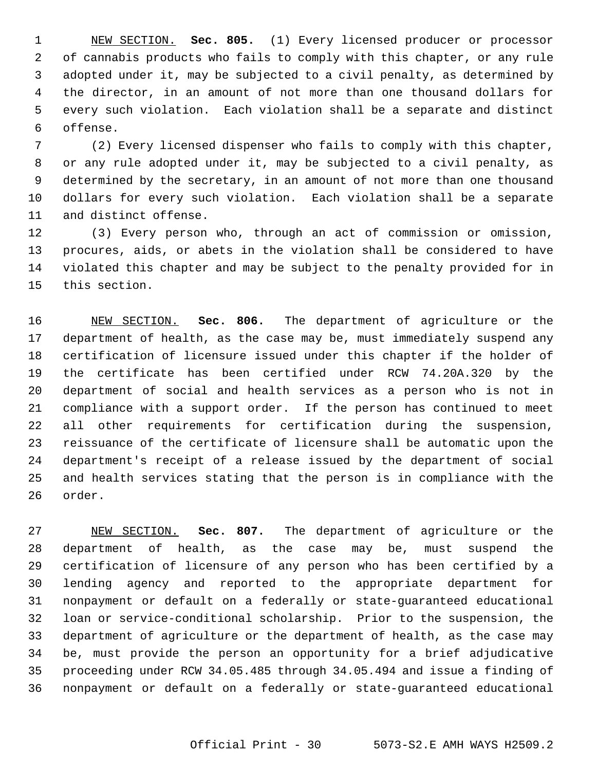1 NEW SECTION. **Sec. 805.** (1) Every licensed producer or processor 2 of cannabis products who fails to comply with this chapter, or any rule 3 adopted under it, may be subjected to a civil penalty, as determined by 4 the director, in an amount of not more than one thousand dollars for 5 every such violation. Each violation shall be a separate and distinct 6 offense.

 7 (2) Every licensed dispenser who fails to comply with this chapter, 8 or any rule adopted under it, may be subjected to a civil penalty, as 9 determined by the secretary, in an amount of not more than one thousand 10 dollars for every such violation. Each violation shall be a separate 11 and distinct offense.

12 (3) Every person who, through an act of commission or omission, 13 procures, aids, or abets in the violation shall be considered to have 14 violated this chapter and may be subject to the penalty provided for in 15 this section.

16 NEW SECTION. **Sec. 806.** The department of agriculture or the 17 department of health, as the case may be, must immediately suspend any 18 certification of licensure issued under this chapter if the holder of 19 the certificate has been certified under RCW 74.20A.320 by the 20 department of social and health services as a person who is not in 21 compliance with a support order. If the person has continued to meet 22 all other requirements for certification during the suspension, 23 reissuance of the certificate of licensure shall be automatic upon the 24 department's receipt of a release issued by the department of social 25 and health services stating that the person is in compliance with the 26 order.

27 NEW SECTION. **Sec. 807.** The department of agriculture or the 28 department of health, as the case may be, must suspend the 29 certification of licensure of any person who has been certified by a 30 lending agency and reported to the appropriate department for 31 nonpayment or default on a federally or state-guaranteed educational 32 loan or service-conditional scholarship. Prior to the suspension, the 33 department of agriculture or the department of health, as the case may 34 be, must provide the person an opportunity for a brief adjudicative 35 proceeding under RCW 34.05.485 through 34.05.494 and issue a finding of 36 nonpayment or default on a federally or state-guaranteed educational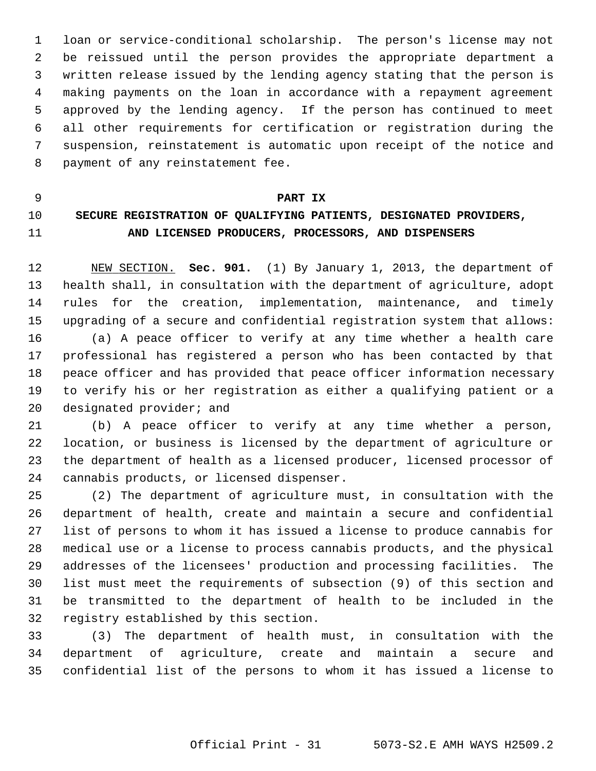1 loan or service-conditional scholarship. The person's license may not 2 be reissued until the person provides the appropriate department a 3 written release issued by the lending agency stating that the person is 4 making payments on the loan in accordance with a repayment agreement 5 approved by the lending agency. If the person has continued to meet 6 all other requirements for certification or registration during the 7 suspension, reinstatement is automatic upon receipt of the notice and 8 payment of any reinstatement fee.

#### 9 **PART IX**

## 10 **SECURE REGISTRATION OF QUALIFYING PATIENTS, DESIGNATED PROVIDERS,** 11 **AND LICENSED PRODUCERS, PROCESSORS, AND DISPENSERS**

12 NEW SECTION. **Sec. 901.** (1) By January 1, 2013, the department of 13 health shall, in consultation with the department of agriculture, adopt 14 rules for the creation, implementation, maintenance, and timely 15 upgrading of a secure and confidential registration system that allows: 16 (a) A peace officer to verify at any time whether a health care 17 professional has registered a person who has been contacted by that 18 peace officer and has provided that peace officer information necessary 19 to verify his or her registration as either a qualifying patient or a 20 designated provider; and

21 (b) A peace officer to verify at any time whether a person, 22 location, or business is licensed by the department of agriculture or 23 the department of health as a licensed producer, licensed processor of 24 cannabis products, or licensed dispenser.

25 (2) The department of agriculture must, in consultation with the 26 department of health, create and maintain a secure and confidential 27 list of persons to whom it has issued a license to produce cannabis for 28 medical use or a license to process cannabis products, and the physical 29 addresses of the licensees' production and processing facilities. The 30 list must meet the requirements of subsection (9) of this section and 31 be transmitted to the department of health to be included in the 32 registry established by this section.

33 (3) The department of health must, in consultation with the 34 department of agriculture, create and maintain a secure and 35 confidential list of the persons to whom it has issued a license to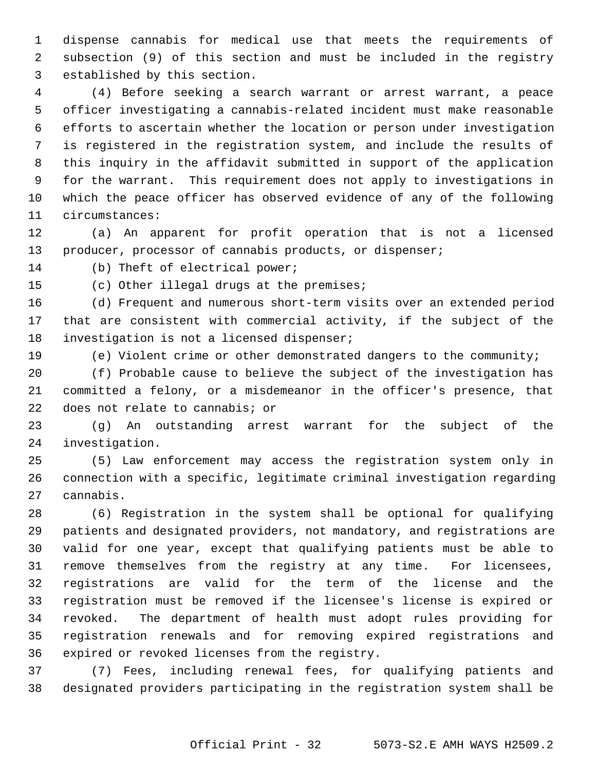1 dispense cannabis for medical use that meets the requirements of 2 subsection (9) of this section and must be included in the registry 3 established by this section.

 4 (4) Before seeking a search warrant or arrest warrant, a peace 5 officer investigating a cannabis-related incident must make reasonable 6 efforts to ascertain whether the location or person under investigation 7 is registered in the registration system, and include the results of 8 this inquiry in the affidavit submitted in support of the application 9 for the warrant. This requirement does not apply to investigations in 10 which the peace officer has observed evidence of any of the following 11 circumstances:

12 (a) An apparent for profit operation that is not a licensed 13 producer, processor of cannabis products, or dispenser;

14 (b) Theft of electrical power;

15 (c) Other illegal drugs at the premises;

16 (d) Frequent and numerous short-term visits over an extended period 17 that are consistent with commercial activity, if the subject of the 18 investigation is not a licensed dispenser;

19 (e) Violent crime or other demonstrated dangers to the community;

20 (f) Probable cause to believe the subject of the investigation has 21 committed a felony, or a misdemeanor in the officer's presence, that 22 does not relate to cannabis; or

23 (g) An outstanding arrest warrant for the subject of the 24 investigation.

25 (5) Law enforcement may access the registration system only in 26 connection with a specific, legitimate criminal investigation regarding 27 cannabis.

28 (6) Registration in the system shall be optional for qualifying 29 patients and designated providers, not mandatory, and registrations are 30 valid for one year, except that qualifying patients must be able to 31 remove themselves from the registry at any time. For licensees, 32 registrations are valid for the term of the license and the 33 registration must be removed if the licensee's license is expired or 34 revoked. The department of health must adopt rules providing for 35 registration renewals and for removing expired registrations and 36 expired or revoked licenses from the registry.

37 (7) Fees, including renewal fees, for qualifying patients and 38 designated providers participating in the registration system shall be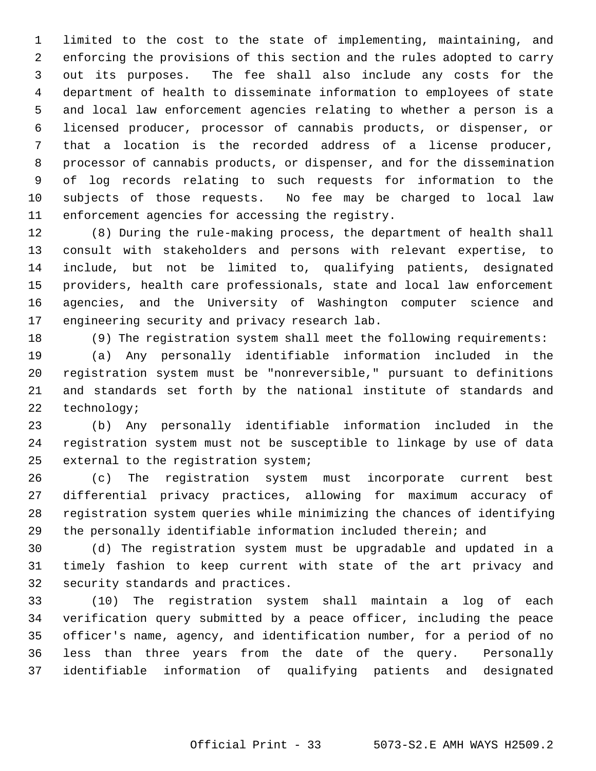1 limited to the cost to the state of implementing, maintaining, and 2 enforcing the provisions of this section and the rules adopted to carry 3 out its purposes. The fee shall also include any costs for the 4 department of health to disseminate information to employees of state 5 and local law enforcement agencies relating to whether a person is a 6 licensed producer, processor of cannabis products, or dispenser, or 7 that a location is the recorded address of a license producer, 8 processor of cannabis products, or dispenser, and for the dissemination 9 of log records relating to such requests for information to the 10 subjects of those requests. No fee may be charged to local law 11 enforcement agencies for accessing the registry.

12 (8) During the rule-making process, the department of health shall 13 consult with stakeholders and persons with relevant expertise, to 14 include, but not be limited to, qualifying patients, designated 15 providers, health care professionals, state and local law enforcement 16 agencies, and the University of Washington computer science and 17 engineering security and privacy research lab.

18 (9) The registration system shall meet the following requirements:

19 (a) Any personally identifiable information included in the 20 registration system must be "nonreversible," pursuant to definitions 21 and standards set forth by the national institute of standards and 22 technology;

23 (b) Any personally identifiable information included in the 24 registration system must not be susceptible to linkage by use of data 25 external to the registration system;

26 (c) The registration system must incorporate current best 27 differential privacy practices, allowing for maximum accuracy of 28 registration system queries while minimizing the chances of identifying 29 the personally identifiable information included therein; and

30 (d) The registration system must be upgradable and updated in a 31 timely fashion to keep current with state of the art privacy and 32 security standards and practices.

33 (10) The registration system shall maintain a log of each 34 verification query submitted by a peace officer, including the peace 35 officer's name, agency, and identification number, for a period of no 36 less than three years from the date of the query. Personally 37 identifiable information of qualifying patients and designated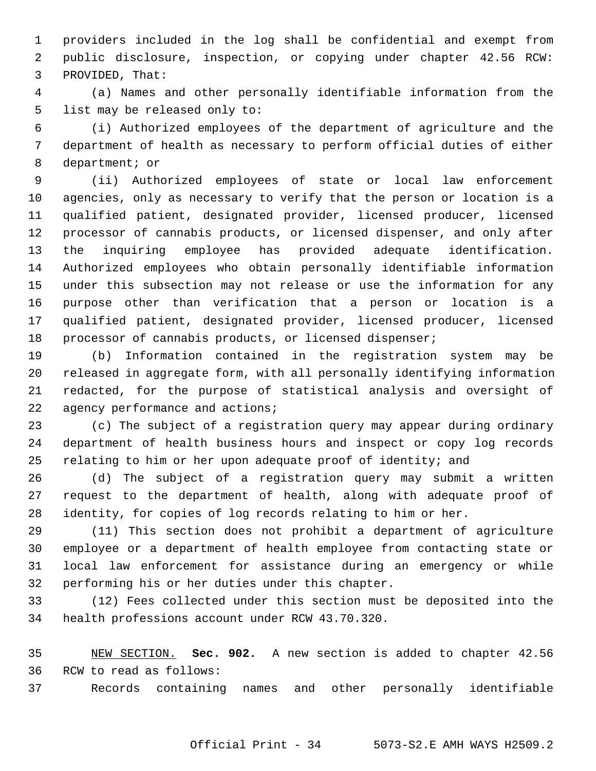1 providers included in the log shall be confidential and exempt from 2 public disclosure, inspection, or copying under chapter 42.56 RCW: 3 PROVIDED, That:

 4 (a) Names and other personally identifiable information from the 5 list may be released only to:

 6 (i) Authorized employees of the department of agriculture and the 7 department of health as necessary to perform official duties of either 8 department; or

 9 (ii) Authorized employees of state or local law enforcement 10 agencies, only as necessary to verify that the person or location is a 11 qualified patient, designated provider, licensed producer, licensed 12 processor of cannabis products, or licensed dispenser, and only after 13 the inquiring employee has provided adequate identification. 14 Authorized employees who obtain personally identifiable information 15 under this subsection may not release or use the information for any 16 purpose other than verification that a person or location is a 17 qualified patient, designated provider, licensed producer, licensed 18 processor of cannabis products, or licensed dispenser;

19 (b) Information contained in the registration system may be 20 released in aggregate form, with all personally identifying information 21 redacted, for the purpose of statistical analysis and oversight of 22 agency performance and actions;

23 (c) The subject of a registration query may appear during ordinary 24 department of health business hours and inspect or copy log records 25 relating to him or her upon adequate proof of identity; and

26 (d) The subject of a registration query may submit a written 27 request to the department of health, along with adequate proof of 28 identity, for copies of log records relating to him or her.

29 (11) This section does not prohibit a department of agriculture 30 employee or a department of health employee from contacting state or 31 local law enforcement for assistance during an emergency or while 32 performing his or her duties under this chapter.

33 (12) Fees collected under this section must be deposited into the 34 health professions account under RCW 43.70.320.

35 NEW SECTION. **Sec. 902.** A new section is added to chapter 42.56 36 RCW to read as follows:

37 Records containing names and other personally identifiable

Official Print - 34 5073-S2.E AMH WAYS H2509.2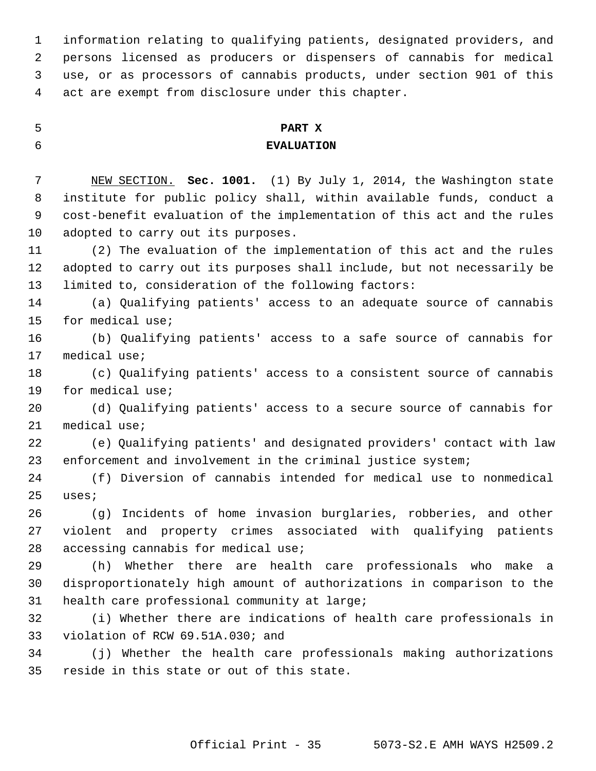1 information relating to qualifying patients, designated providers, and 2 persons licensed as producers or dispensers of cannabis for medical 3 use, or as processors of cannabis products, under section 901 of this 4 act are exempt from disclosure under this chapter.

## 5 **PART X** 6 **EVALUATION**

 7 NEW SECTION. **Sec. 1001.** (1) By July 1, 2014, the Washington state 8 institute for public policy shall, within available funds, conduct a 9 cost-benefit evaluation of the implementation of this act and the rules 10 adopted to carry out its purposes.

11 (2) The evaluation of the implementation of this act and the rules 12 adopted to carry out its purposes shall include, but not necessarily be 13 limited to, consideration of the following factors:

14 (a) Qualifying patients' access to an adequate source of cannabis 15 for medical use;

16 (b) Qualifying patients' access to a safe source of cannabis for 17 medical use;

18 (c) Qualifying patients' access to a consistent source of cannabis 19 for medical use;

20 (d) Qualifying patients' access to a secure source of cannabis for 21 medical use;

22 (e) Qualifying patients' and designated providers' contact with law 23 enforcement and involvement in the criminal justice system;

24 (f) Diversion of cannabis intended for medical use to nonmedical 25 uses;

26 (g) Incidents of home invasion burglaries, robberies, and other 27 violent and property crimes associated with qualifying patients 28 accessing cannabis for medical use;

29 (h) Whether there are health care professionals who make a 30 disproportionately high amount of authorizations in comparison to the 31 health care professional community at large;

32 (i) Whether there are indications of health care professionals in 33 violation of RCW 69.51A.030; and

34 (j) Whether the health care professionals making authorizations 35 reside in this state or out of this state.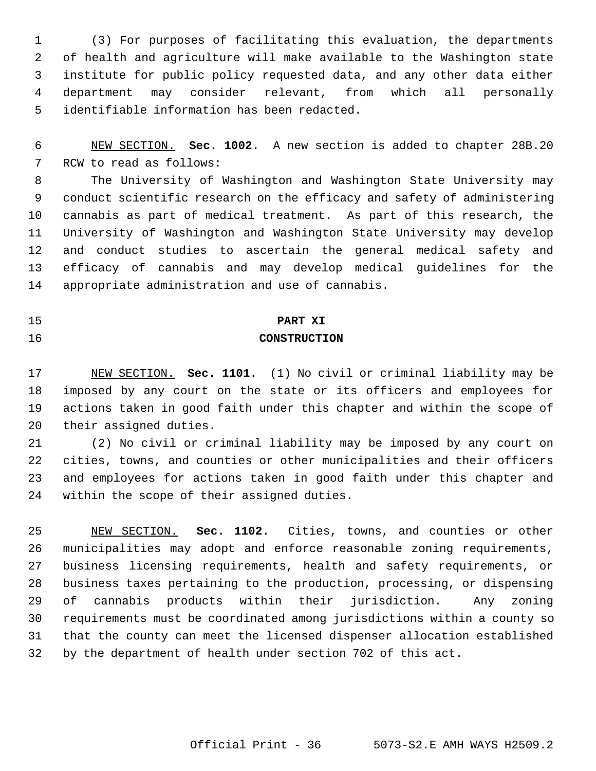1 (3) For purposes of facilitating this evaluation, the departments 2 of health and agriculture will make available to the Washington state 3 institute for public policy requested data, and any other data either 4 department may consider relevant, from which all personally 5 identifiable information has been redacted.

 6 NEW SECTION. **Sec. 1002.** A new section is added to chapter 28B.20 7 RCW to read as follows:

 8 The University of Washington and Washington State University may 9 conduct scientific research on the efficacy and safety of administering 10 cannabis as part of medical treatment. As part of this research, the 11 University of Washington and Washington State University may develop 12 and conduct studies to ascertain the general medical safety and 13 efficacy of cannabis and may develop medical guidelines for the 14 appropriate administration and use of cannabis.

# 15 **PART XI**

## 16 **CONSTRUCTION**

17 NEW SECTION. **Sec. 1101.** (1) No civil or criminal liability may be 18 imposed by any court on the state or its officers and employees for 19 actions taken in good faith under this chapter and within the scope of 20 their assigned duties.

21 (2) No civil or criminal liability may be imposed by any court on 22 cities, towns, and counties or other municipalities and their officers 23 and employees for actions taken in good faith under this chapter and 24 within the scope of their assigned duties.

25 NEW SECTION. **Sec. 1102.** Cities, towns, and counties or other 26 municipalities may adopt and enforce reasonable zoning requirements, 27 business licensing requirements, health and safety requirements, or 28 business taxes pertaining to the production, processing, or dispensing 29 of cannabis products within their jurisdiction. Any zoning 30 requirements must be coordinated among jurisdictions within a county so 31 that the county can meet the licensed dispenser allocation established 32 by the department of health under section 702 of this act.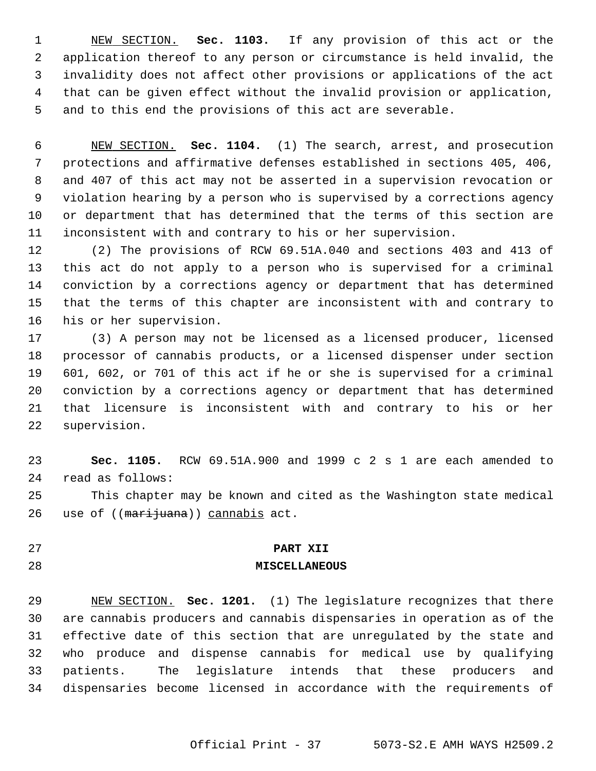1 NEW SECTION. **Sec. 1103.** If any provision of this act or the 2 application thereof to any person or circumstance is held invalid, the 3 invalidity does not affect other provisions or applications of the act 4 that can be given effect without the invalid provision or application, 5 and to this end the provisions of this act are severable.

 6 NEW SECTION. **Sec. 1104.** (1) The search, arrest, and prosecution 7 protections and affirmative defenses established in sections 405, 406, 8 and 407 of this act may not be asserted in a supervision revocation or 9 violation hearing by a person who is supervised by a corrections agency 10 or department that has determined that the terms of this section are 11 inconsistent with and contrary to his or her supervision.

12 (2) The provisions of RCW 69.51A.040 and sections 403 and 413 of 13 this act do not apply to a person who is supervised for a criminal 14 conviction by a corrections agency or department that has determined 15 that the terms of this chapter are inconsistent with and contrary to 16 his or her supervision.

17 (3) A person may not be licensed as a licensed producer, licensed 18 processor of cannabis products, or a licensed dispenser under section 19 601, 602, or 701 of this act if he or she is supervised for a criminal 20 conviction by a corrections agency or department that has determined 21 that licensure is inconsistent with and contrary to his or her 22 supervision.

23 **Sec. 1105.** RCW 69.51A.900 and 1999 c 2 s 1 are each amended to 24 read as follows:

25 This chapter may be known and cited as the Washington state medical 26 use of ((marijuana)) cannabis act.

#### 27 **PART XII**

#### 28 **MISCELLANEOUS**

29 NEW SECTION. **Sec. 1201.** (1) The legislature recognizes that there 30 are cannabis producers and cannabis dispensaries in operation as of the 31 effective date of this section that are unregulated by the state and 32 who produce and dispense cannabis for medical use by qualifying 33 patients. The legislature intends that these producers and 34 dispensaries become licensed in accordance with the requirements of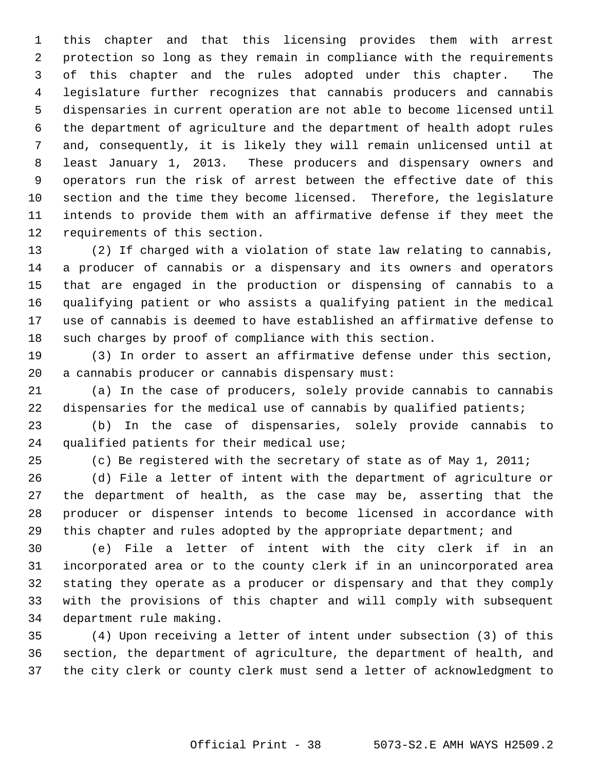1 this chapter and that this licensing provides them with arrest 2 protection so long as they remain in compliance with the requirements 3 of this chapter and the rules adopted under this chapter. The 4 legislature further recognizes that cannabis producers and cannabis 5 dispensaries in current operation are not able to become licensed until 6 the department of agriculture and the department of health adopt rules 7 and, consequently, it is likely they will remain unlicensed until at 8 least January 1, 2013. These producers and dispensary owners and 9 operators run the risk of arrest between the effective date of this 10 section and the time they become licensed. Therefore, the legislature 11 intends to provide them with an affirmative defense if they meet the 12 requirements of this section.

13 (2) If charged with a violation of state law relating to cannabis, 14 a producer of cannabis or a dispensary and its owners and operators 15 that are engaged in the production or dispensing of cannabis to a 16 qualifying patient or who assists a qualifying patient in the medical 17 use of cannabis is deemed to have established an affirmative defense to 18 such charges by proof of compliance with this section.

19 (3) In order to assert an affirmative defense under this section, 20 a cannabis producer or cannabis dispensary must:

21 (a) In the case of producers, solely provide cannabis to cannabis 22 dispensaries for the medical use of cannabis by qualified patients;

23 (b) In the case of dispensaries, solely provide cannabis to 24 qualified patients for their medical use;

25 (c) Be registered with the secretary of state as of May 1, 2011;

26 (d) File a letter of intent with the department of agriculture or 27 the department of health, as the case may be, asserting that the 28 producer or dispenser intends to become licensed in accordance with 29 this chapter and rules adopted by the appropriate department; and

30 (e) File a letter of intent with the city clerk if in an 31 incorporated area or to the county clerk if in an unincorporated area 32 stating they operate as a producer or dispensary and that they comply 33 with the provisions of this chapter and will comply with subsequent 34 department rule making.

35 (4) Upon receiving a letter of intent under subsection (3) of this 36 section, the department of agriculture, the department of health, and 37 the city clerk or county clerk must send a letter of acknowledgment to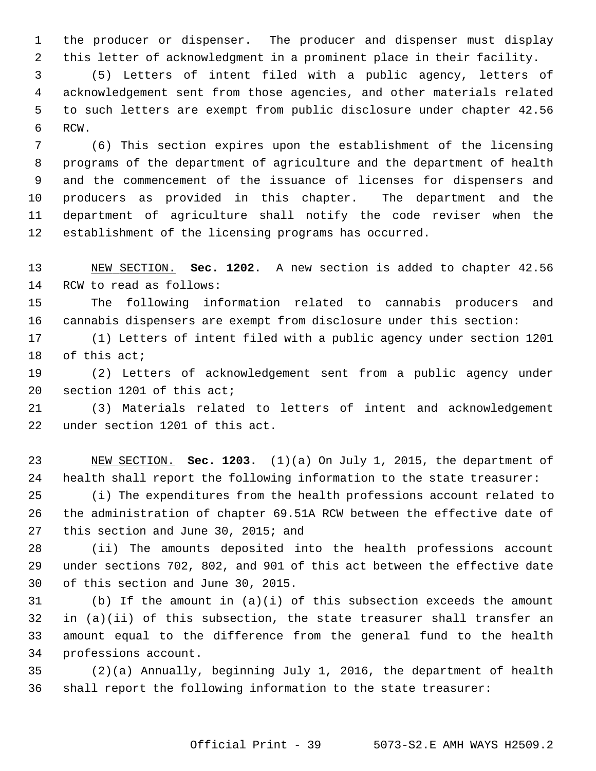1 the producer or dispenser. The producer and dispenser must display 2 this letter of acknowledgment in a prominent place in their facility.

 3 (5) Letters of intent filed with a public agency, letters of 4 acknowledgement sent from those agencies, and other materials related 5 to such letters are exempt from public disclosure under chapter 42.56 6 RCW.

 7 (6) This section expires upon the establishment of the licensing 8 programs of the department of agriculture and the department of health 9 and the commencement of the issuance of licenses for dispensers and 10 producers as provided in this chapter. The department and the 11 department of agriculture shall notify the code reviser when the 12 establishment of the licensing programs has occurred.

13 NEW SECTION. **Sec. 1202.** A new section is added to chapter 42.56 14 RCW to read as follows:

15 The following information related to cannabis producers and 16 cannabis dispensers are exempt from disclosure under this section:

17 (1) Letters of intent filed with a public agency under section 1201 18 of this act;

19 (2) Letters of acknowledgement sent from a public agency under 20 section 1201 of this act;

21 (3) Materials related to letters of intent and acknowledgement 22 under section 1201 of this act.

23 NEW SECTION. **Sec. 1203.** (1)(a) On July 1, 2015, the department of 24 health shall report the following information to the state treasurer:

25 (i) The expenditures from the health professions account related to 26 the administration of chapter 69.51A RCW between the effective date of 27 this section and June 30, 2015; and

28 (ii) The amounts deposited into the health professions account 29 under sections 702, 802, and 901 of this act between the effective date 30 of this section and June 30, 2015.

31 (b) If the amount in (a)(i) of this subsection exceeds the amount 32 in (a)(ii) of this subsection, the state treasurer shall transfer an 33 amount equal to the difference from the general fund to the health 34 professions account.

35 (2)(a) Annually, beginning July 1, 2016, the department of health 36 shall report the following information to the state treasurer: